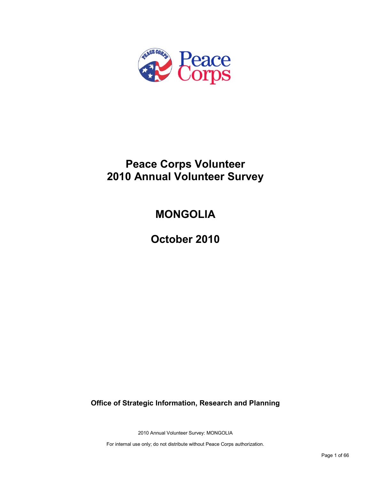

# **Peace Corps Volunteer 2010 Annual Volunteer Survey**

# **MONGOLIA**

**October 2010**

**Office of Strategic Information, Research and Planning**

2010 Annual Volunteer Survey: MONGOLIA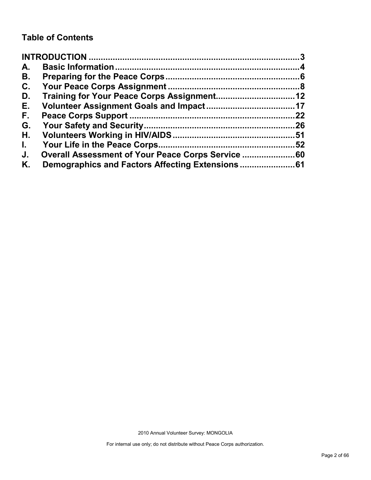## **Table of Contents**

| A.           |                                                    |     |
|--------------|----------------------------------------------------|-----|
| В.           |                                                    |     |
| C.           |                                                    |     |
| D.           |                                                    |     |
| Е.           |                                                    |     |
| F.,          |                                                    | 22  |
| G.           |                                                    |     |
| Н.           |                                                    |     |
| $\mathbf{L}$ |                                                    | .52 |
| J.           | Overall Assessment of Your Peace Corps Service  60 |     |
| Κ.           |                                                    |     |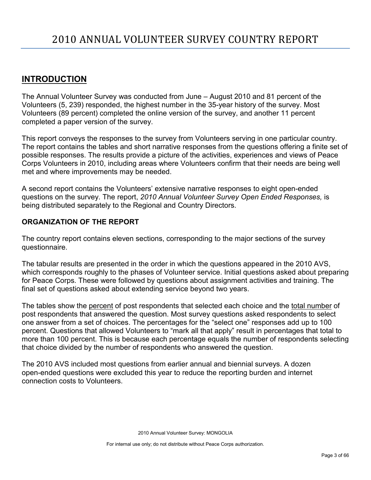## <span id="page-2-0"></span>**INTRODUCTION**

The Annual Volunteer Survey was conducted from June – August 2010 and 81 percent of the Volunteers (5, 239) responded, the highest number in the 35-year history of the survey. Most Volunteers (89 percent) completed the online version of the survey, and another 11 percent completed a paper version of the survey.

This report conveys the responses to the survey from Volunteers serving in one particular country. The report contains the tables and short narrative responses from the questions offering a finite set of possible responses. The results provide a picture of the activities, experiences and views of Peace Corps Volunteers in 2010, including areas where Volunteers confirm that their needs are being well met and where improvements may be needed.

A second report contains the Volunteers' extensive narrative responses to eight open-ended questions on the survey. The report, *2010 Annual Volunteer Survey Open Ended Responses,* is being distributed separately to the Regional and Country Directors.

## **ORGANIZATION OF THE REPORT**

The country report contains eleven sections, corresponding to the major sections of the survey questionnaire.

The tabular results are presented in the order in which the questions appeared in the 2010 AVS, which corresponds roughly to the phases of Volunteer service. Initial questions asked about preparing for Peace Corps. These were followed by questions about assignment activities and training. The final set of questions asked about extending service beyond two years.

The tables show the percent of post respondents that selected each choice and the total number of post respondents that answered the question. Most survey questions asked respondents to select one answer from a set of choices. The percentages for the "select one" responses add up to 100 percent. Questions that allowed Volunteers to "mark all that apply" result in percentages that total to more than 100 percent. This is because each percentage equals the number of respondents selecting that choice divided by the number of respondents who answered the question.

The 2010 AVS included most questions from earlier annual and biennial surveys. A dozen open-ended questions were excluded this year to reduce the reporting burden and internet connection costs to Volunteers.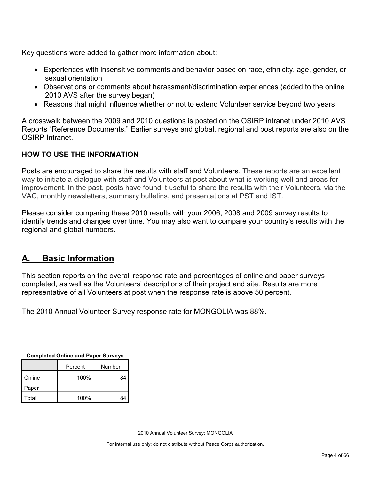Key questions were added to gather more information about:

- Experiences with insensitive comments and behavior based on race, ethnicity, age, gender, or sexual orientation
- Observations or comments about harassment/discrimination experiences (added to the online 2010 AVS after the survey began)
- Reasons that might influence whether or not to extend Volunteer service beyond two years

A crosswalk between the 2009 and 2010 questions is posted on the OSIRP intranet under 2010 AVS Reports "Reference Documents." Earlier surveys and global, regional and post reports are also on the OSIRP Intranet.

## **HOW TO USE THE INFORMATION**

Posts are encouraged to share the results with staff and Volunteers. These reports are an excellent way to initiate a dialogue with staff and Volunteers at post about what is working well and areas for improvement. In the past, posts have found it useful to share the results with their Volunteers, via the VAC, monthly newsletters, summary bulletins, and presentations at PST and IST.

Please consider comparing these 2010 results with your 2006, 2008 and 2009 survey results to identify trends and changes over time. You may also want to compare your country's results with the regional and global numbers.

## <span id="page-3-0"></span>**A. Basic Information**

This section reports on the overall response rate and percentages of online and paper surveys completed, as well as the Volunteers' descriptions of their project and site. Results are more representative of all Volunteers at post when the response rate is above 50 percent.

The 2010 Annual Volunteer Survey response rate for MONGOLIA was 88%.

| Completed Online and Fapel Surveys |      |        |  |
|------------------------------------|------|--------|--|
| Percent                            |      | Number |  |
| Online                             | 100% | 84     |  |
| Paper                              |      |        |  |
| Total                              | 100% | 84     |  |

**Completed Online and Paper Surveys**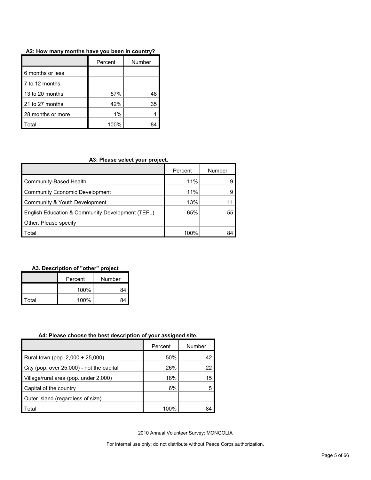| A2: How many months have you been in country? |  |
|-----------------------------------------------|--|
|-----------------------------------------------|--|

|                   | Percent | Number |
|-------------------|---------|--------|
| 6 months or less  |         |        |
| 7 to 12 months    |         |        |
| 13 to 20 months   | 57%     | 48     |
| 21 to 27 months   | 42%     | 35     |
| 28 months or more | 1%      |        |
| ʻotal             | 100%    |        |

### **A3: Please select your project.**

|                                                  | Percent | Number |
|--------------------------------------------------|---------|--------|
| Community-Based Health                           | 11%     |        |
| Community Economic Development                   | 11%     |        |
| Community & Youth Development                    | 13%     |        |
| English Education & Community Development (TEFL) | 65%     | 55     |
| Other. Please specify                            |         |        |
| Гоtal                                            | 100%    |        |

## **A3. Description of "other" project**

|       | Percent    | Number |  |
|-------|------------|--------|--|
|       | 100%<br>R۵ |        |  |
| Total | 100%       |        |  |

#### **A4: Please choose the best description of your assigned site.**

|                                           | Percent | Number |
|-------------------------------------------|---------|--------|
| Rural town (pop. 2,000 + 25,000)          | 50%     | 42     |
| City (pop. over 25,000) - not the capital | 26%     | 22     |
| Village/rural area (pop. under 2,000)     | 18%     | 15     |
| Capital of the country                    | 6%      |        |
| Outer island (regardless of size)         |         |        |
| Total                                     | 100%    | 84     |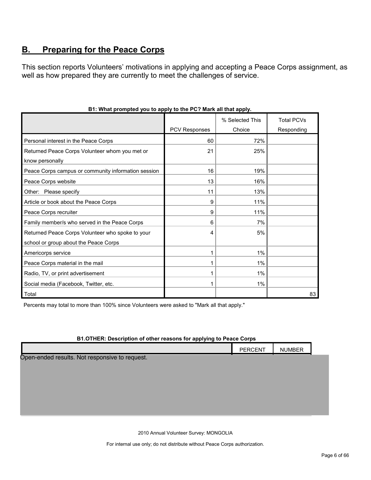## <span id="page-5-0"></span>**B. Preparing for the Peace Corps**

This section reports Volunteers' motivations in applying and accepting a Peace Corps assignment, as well as how prepared they are currently to meet the challenges of service.

|                                                     |                      | % Selected This | <b>Total PCVs</b> |
|-----------------------------------------------------|----------------------|-----------------|-------------------|
|                                                     | <b>PCV Responses</b> | Choice          | Responding        |
| Personal interest in the Peace Corps                | 60                   | 72%             |                   |
| Returned Peace Corps Volunteer whom you met or      | 21                   | 25%             |                   |
| know personally                                     |                      |                 |                   |
| Peace Corps campus or community information session | 16                   | 19%             |                   |
| Peace Corps website                                 | 13                   | 16%             |                   |
| Other: Please specify                               | 11                   | 13%             |                   |
| Article or book about the Peace Corps               | 9                    | 11%             |                   |
| Peace Corps recruiter                               | 9                    | 11%             |                   |
| Family member/s who served in the Peace Corps       | 6                    | 7%              |                   |
| Returned Peace Corps Volunteer who spoke to your    | 4                    | 5%              |                   |
| school or group about the Peace Corps               |                      |                 |                   |
| Americorps service                                  |                      | 1%              |                   |
| Peace Corps material in the mail                    |                      | 1%              |                   |
| Radio, TV, or print advertisement                   |                      | $1\%$           |                   |
| Social media (Facebook, Twitter, etc.               |                      | $1\%$           |                   |
| Total                                               |                      |                 | 83                |

## **B1: What prompted you to apply to the PC? Mark all that apply.**

Percents may total to more than 100% since Volunteers were asked to "Mark all that apply."

### **B1.OTHER: Description of other reasons for applying to Peace Corps**

|                                                | <b>PERCENT</b> | <b>NUMBER</b> |  |
|------------------------------------------------|----------------|---------------|--|
| Open-ended results. Not responsive to request. |                |               |  |
|                                                |                |               |  |
|                                                |                |               |  |
|                                                |                |               |  |
|                                                |                |               |  |
|                                                |                |               |  |

2010 Annual Volunteer Survey: MONGOLIA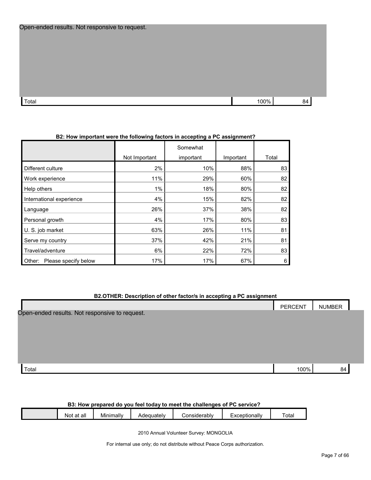| Open-ended results. Not responsive to request. |  |
|------------------------------------------------|--|
|------------------------------------------------|--|

| Total | 100% | 5L |
|-------|------|----|
|       |      |    |

### **B2: How important were the following factors in accepting a PC assignment?**

|                                |               | Somewhat  |           |       |
|--------------------------------|---------------|-----------|-----------|-------|
|                                | Not Important | important | Important | Total |
| Different culture              | 2%            | 10%       | 88%       | 83    |
| Work experience                | 11%           | 29%       | 60%       | 82    |
| Help others                    | 1%            | 18%       | 80%       | 82    |
| International experience       | 4%            | 15%       | 82%       | 82    |
| Language                       | 26%           | 37%       | 38%       | 82    |
| Personal growth                | 4%            | 17%       | 80%       | 83    |
| U. S. job market               | 63%           | 26%       | 11%       | 81    |
| Serve my country               | 37%           | 42%       | 21%       | 81    |
| Travel/adventure               | 6%            | 22%       | 72%       | 83    |
| Please specify below<br>Other: | 17%           | 17%       | 67%       | 6     |

#### **B2.OTHER: Description of other factor/s in accepting a PC assignment**

|                                                | PERCENT | <b>NUMBER</b> |  |
|------------------------------------------------|---------|---------------|--|
| Open-ended results. Not responsive to request. |         |               |  |
|                                                |         |               |  |
|                                                |         |               |  |
|                                                |         |               |  |
|                                                |         |               |  |
|                                                |         |               |  |
| Total                                          | 100%    | 84            |  |

#### **B3: How prepared do you feel today to meet the challenges of PC service?**

| <br>Total<br>Considerably<br>∠xceptionall∨<br>Adequately<br>Minimally<br>all<br>Not<br>~+<br>αι |  |  |  |  |  |  |  |
|-------------------------------------------------------------------------------------------------|--|--|--|--|--|--|--|
|-------------------------------------------------------------------------------------------------|--|--|--|--|--|--|--|

2010 Annual Volunteer Survey: MONGOLIA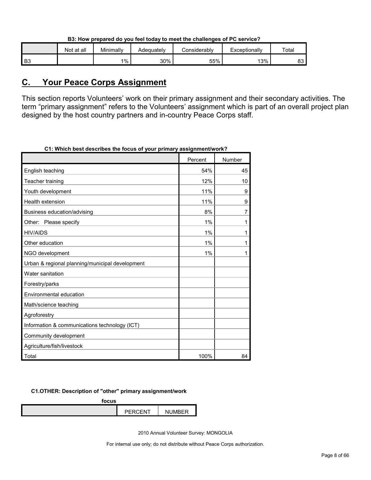|  | B3: How prepared do you feel today to meet the challenges of PC service? |
|--|--------------------------------------------------------------------------|
|  |                                                                          |

|    | Not at all | Minimally | Adequatelv | Considerabl∨ | Exceptionally | Total      |
|----|------------|-----------|------------|--------------|---------------|------------|
| B3 |            | 1%        | 30%        | 55%          | 13%           | ററ<br>ഠാ ' |

## <span id="page-7-0"></span>**C. Your Peace Corps Assignment**

This section reports Volunteers' work on their primary assignment and their secondary activities. The term "primary assignment" refers to the Volunteers' assignment which is part of an overall project plan designed by the host country partners and in-country Peace Corps staff.

| <u>THING ACON ACOULINGS THE TOURS OF</u><br>your primary assignments |         |        |
|----------------------------------------------------------------------|---------|--------|
|                                                                      | Percent | Number |
| English teaching                                                     | 54%     | 45     |
| Teacher training                                                     | 12%     | 10     |
| Youth development                                                    | 11%     | 9      |
| Health extension                                                     | 11%     | 9      |
| Business education/advising                                          | 8%      | 7      |
| Other: Please specify                                                | 1%      | 1      |
| <b>HIV/AIDS</b>                                                      | 1%      | 1      |
| Other education                                                      | 1%      | 1      |
| NGO development                                                      | 1%      | 1      |
| Urban & regional planning/municipal development                      |         |        |
| Water sanitation                                                     |         |        |
| Forestry/parks                                                       |         |        |
| Environmental education                                              |         |        |
| Math/science teaching                                                |         |        |
| Agroforestry                                                         |         |        |
| Information & communications technology (ICT)                        |         |        |
| Community development                                                |         |        |
| Agriculture/fish/livestock                                           |         |        |
| Total                                                                | 100%    | 84     |

**C1: Which best describes the focus of your primary assignment/work?**

#### **C1.OTHER: Description of "other" primary assignment/work**

**focus**

| $\mathbf{r}$ and $\mathbf{r}$ | - |
|-------------------------------|---|
|                               |   |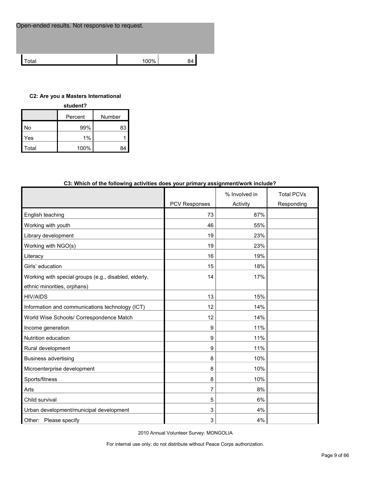| Open-ended results. Not responsive to request. |      |    |  |
|------------------------------------------------|------|----|--|
| ʻotal                                          | 100% | 84 |  |
|                                                |      |    |  |

#### **C2: Are you a Masters International**

| student? |         |        |  |  |  |
|----------|---------|--------|--|--|--|
|          | Percent | Number |  |  |  |
| No       | 99%     | 83     |  |  |  |
| Yes      | 1%      |        |  |  |  |
| Гоtal    | 100%    |        |  |  |  |

| Co. WHICH OF the following activities does your primary assignment/work include : |                      |               |                   |
|-----------------------------------------------------------------------------------|----------------------|---------------|-------------------|
|                                                                                   |                      | % Involved in | <b>Total PCVs</b> |
|                                                                                   | <b>PCV Responses</b> | Activity      | Responding        |
| English teaching                                                                  | 73                   | 87%           |                   |
| Working with youth                                                                | 46                   | 55%           |                   |
| Library development                                                               | 19                   | 23%           |                   |
| Working with NGO(s)                                                               | 19                   | 23%           |                   |
| Literacy                                                                          | 16                   | 19%           |                   |
| Girls' education                                                                  | 15                   | 18%           |                   |
| Working with special groups (e.g., disabled, elderly,                             | 14                   | 17%           |                   |
| ethnic minorities, orphans)                                                       |                      |               |                   |
| <b>HIV/AIDS</b>                                                                   | 13                   | 15%           |                   |
| Information and communications technology (ICT)                                   | 12                   | 14%           |                   |
| World Wise Schools/ Correspondence Match                                          | 12                   | 14%           |                   |
| Income generation                                                                 | 9                    | 11%           |                   |
| Nutrition education                                                               | 9                    | 11%           |                   |
| Rural development                                                                 | 9                    | 11%           |                   |
| <b>Business advertising</b>                                                       | 8                    | 10%           |                   |
| Microenterprise development                                                       | 8                    | 10%           |                   |
| Sports/fitness                                                                    | 8                    | 10%           |                   |
| Arts                                                                              | $\overline{7}$       | 8%            |                   |
| Child survival                                                                    | 5                    | 6%            |                   |
| Urban development/municipal development                                           | 3                    | 4%            |                   |
| Other: Please specify                                                             | 3                    | 4%            |                   |

## **C3: Which of the following activities does your primary assignment/work include?**

2010 Annual Volunteer Survey: MONGOLIA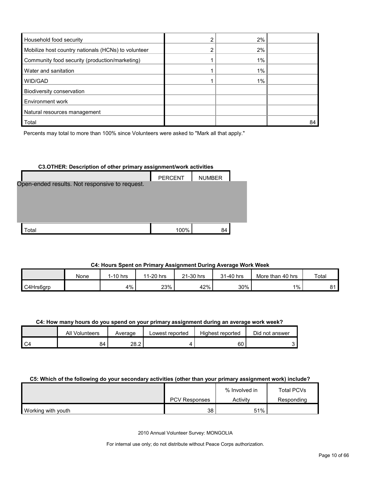| Household food security                             | 2%    |    |
|-----------------------------------------------------|-------|----|
| Mobilize host country nationals (HCNs) to volunteer | 2%    |    |
| Community food security (production/marketing)      | $1\%$ |    |
| Water and sanitation                                | 1%    |    |
| WID/GAD                                             | 1%    |    |
| Biodiversity conservation                           |       |    |
| Environment work                                    |       |    |
| Natural resources management                        |       |    |
| Total                                               |       | 84 |

Percents may total to more than 100% since Volunteers were asked to "Mark all that apply."

## **C3.OTHER: Description of other primary assignment/work activities**

|                                                | <b>PERCENT</b> | <b>NUMBER</b> |  |
|------------------------------------------------|----------------|---------------|--|
| Open-ended results. Not responsive to request. |                |               |  |
|                                                |                |               |  |
|                                                |                |               |  |
| Total                                          | 100%           | 84            |  |

## **C4: Hours Spent on Primary Assignment During Average Work Week**

|           | None | $1-10$ hrs | 1-20 hrs<br>44 | 21-30 hrs | 31-40 hrs | More than 40 hrs | Total |
|-----------|------|------------|----------------|-----------|-----------|------------------|-------|
| C4Hrs6grp |      | 4%         | 23%            | 42%       | 30%       | $1\%$            | ດ⊿    |

### **C4: How many hours do you spend on your primary assignment during an average work week?**

|    | All Volunteers | Average | Lowest reported | Highest reported | Did not answer |
|----|----------------|---------|-----------------|------------------|----------------|
| ◡ฯ | 84             | 28.2    |                 | 60               |                |

#### **C5: Which of the following do your secondary activities (other than your primary assignment work) include?**

|                    |                      | % Involved in | Total PCVs |
|--------------------|----------------------|---------------|------------|
|                    | <b>PCV Responses</b> | Activity      | Responding |
| Working with youth | 38                   | 51%           |            |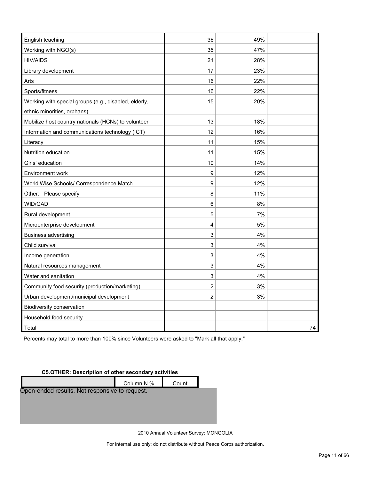| English teaching                                      | 36             | 49% |    |
|-------------------------------------------------------|----------------|-----|----|
| Working with NGO(s)                                   | 35             | 47% |    |
| <b>HIV/AIDS</b>                                       | 21             | 28% |    |
| Library development                                   | 17             | 23% |    |
| Arts                                                  | 16             | 22% |    |
| Sports/fitness                                        | 16             | 22% |    |
| Working with special groups (e.g., disabled, elderly, | 15             | 20% |    |
| ethnic minorities, orphans)                           |                |     |    |
| Mobilize host country nationals (HCNs) to volunteer   | 13             | 18% |    |
| Information and communications technology (ICT)       | 12             | 16% |    |
| Literacy                                              | 11             | 15% |    |
| Nutrition education                                   | 11             | 15% |    |
| Girls' education                                      | 10             | 14% |    |
| Environment work                                      | 9              | 12% |    |
| World Wise Schools/ Correspondence Match              | 9              | 12% |    |
| Other: Please specify                                 | 8              | 11% |    |
| WID/GAD                                               | 6              | 8%  |    |
| Rural development                                     | 5              | 7%  |    |
| Microenterprise development                           | 4              | 5%  |    |
| <b>Business advertising</b>                           | 3              | 4%  |    |
| Child survival                                        | 3              | 4%  |    |
| Income generation                                     | 3              | 4%  |    |
| Natural resources management                          | 3              | 4%  |    |
| Water and sanitation                                  | 3              | 4%  |    |
| Community food security (production/marketing)        | $\overline{c}$ | 3%  |    |
| Urban development/municipal development               | 2              | 3%  |    |
| Biodiversity conservation                             |                |     |    |
| Household food security                               |                |     |    |
| Total                                                 |                |     | 74 |

Percents may total to more than 100% since Volunteers were asked to "Mark all that apply."

#### **C5.OTHER: Description of other secondary activities**



2010 Annual Volunteer Survey: MONGOLIA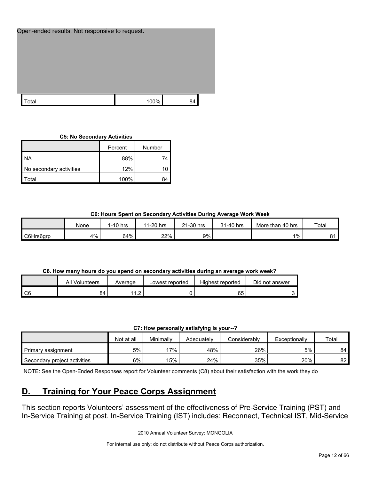| Open-ended results. Not responsive to request. |      |    |
|------------------------------------------------|------|----|
|                                                |      |    |
| Total                                          | 100% | 84 |

#### **C5: No Secondary Activities**

|                         | Percent | Number |
|-------------------------|---------|--------|
| <b>NA</b>               | 88%     |        |
| No secondary activities | 12%     |        |
| otal                    | 100%    |        |

#### **C6: Hours Spent on Secondary Activities During Average Work Week**

|           | None  | $1-10$ hrs | 1-20 hrs<br>44 | 21-30 hrs | 31-40 hrs | More than 40 hrs | Total |
|-----------|-------|------------|----------------|-----------|-----------|------------------|-------|
| C6Hrs6grp | $4\%$ | 64%        | 22%            | 9%        |           | $1\%$            | ດ⊿    |

#### **C6. How many hours do you spend on secondary activities during an average work week?**

|      | All Volunteers | Average                                   | Lowest reported | Highest reported | Did not answer |
|------|----------------|-------------------------------------------|-----------------|------------------|----------------|
| l C6 | 84             | $\sim$<br>4 A<br>$\overline{\phantom{a}}$ |                 | 65               |                |

| C7: How personally satisfying is your--? |  |  |
|------------------------------------------|--|--|
|------------------------------------------|--|--|

|                              | Not at all | Minimally | Adeauatelv | Considerably | Exceptionally | Total |
|------------------------------|------------|-----------|------------|--------------|---------------|-------|
| Primary assignment           | 5%         | 17%       | 48%        | 26%          | 5%            | 84    |
| Secondary project activities | 6%         | 15%       | 24%        | 35%          | 20%           | 82    |

NOTE: See the Open-Ended Responses report for Volunteer comments (C8) about their satisfaction with the work they do

## <span id="page-11-0"></span>**D. Training for Your Peace Corps Assignment**

This section reports Volunteers' assessment of the effectiveness of Pre-Service Training (PST) and In-Service Training at post. In-Service Training (IST) includes: Reconnect, Technical IST, Mid-Service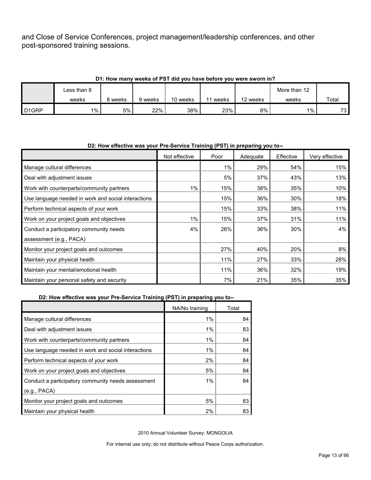and Close of Service Conferences, project management/leadership conferences, and other post-sponsored training sessions.

|                    | D1: How many weeks of PST did you have before you were sworn in? |         |         |          |       |          |              |       |  |  |
|--------------------|------------------------------------------------------------------|---------|---------|----------|-------|----------|--------------|-------|--|--|
|                    | Less than 8                                                      |         |         |          |       |          | More than 12 |       |  |  |
|                    | weeks                                                            | 8 weeks | 9 weeks | 10 weeks | weeks | 12 weeks | weeks        | Total |  |  |
| D <sub>1</sub> GRP | $1\%$                                                            | 5%      | 22%     | 38%      | 23%   | 8%       | $1\%$        | 73    |  |  |

#### **D1: How many weeks of PST did you have before you were sworn in?**

## Not effective | Poor | Adequate | Effective | Very effective Manage cultural differences and the state of the state of the state of the state of the state of the state of t Deal with adjustment issues 5% 37% 43% 13% Work with counterparts/community partners 1% 15% 38% 35% 10% Use language needed in work and social interactions  $\begin{vmatrix} 1 & 15\% & 36\% & 36\% \end{vmatrix}$  30% 18% Perform technical aspects of your work 15 15 10 minutes of the state of the state of the state of the state of t Work on your project goals and objectives 1990 1990 11% 15% 16% 16% 37% 37% 31% 31% 11% Conduct a participatory community needs assessment (e.g., PACA) 4% 26% 36% 30% 4% Monitor your project goals and outcomes 27% 27% 20% 20% 20% 20% 20% 8% Maintain your physical health 11% 11% 27% 28% 28% 28% 28% Maintain your mental/emotional health 11 11% 11% 19% 19% 36% 32% 19% Maintain your personal safety and security 7% 21% 35% 35%

#### **D2: How effective was your Pre-Service Training (PST) in preparing you to--**

#### **D2: How effective was your Pre-Service Training (PST) in preparing you to--**

|                                                     | NA/No training | Total |
|-----------------------------------------------------|----------------|-------|
| Manage cultural differences                         | 1%             | 84    |
| Deal with adjustment issues                         | $1\%$          | 83    |
| Work with counterparts/community partners           | 1%             | 84    |
| Use language needed in work and social interactions | 1%             | 84    |
| Perform technical aspects of your work              | 2%             | 84    |
| Work on your project goals and objectives           | 5%             | 84    |
| Conduct a participatory community needs assessment  | $1\%$          | 84    |
| (e.g., PACA)                                        |                |       |
| Monitor your project goals and outcomes             | 5%             | 83    |
| Maintain your physical health                       | 2%             | 83    |

2010 Annual Volunteer Survey: MONGOLIA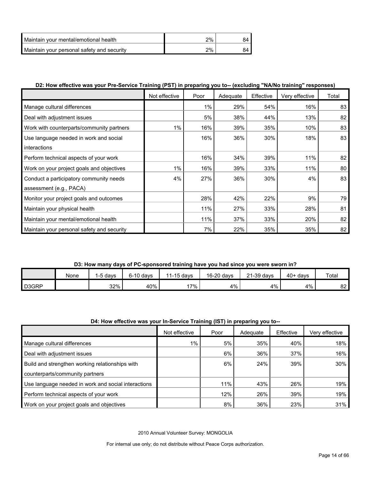| l Maintain vour mental/emotional health    | $2\%$ |  |
|--------------------------------------------|-------|--|
| Maintain your personal safety and security | $2\%$ |  |

## **D2: How effective was your Pre-Service Training (PST) in preparing you to-- (excluding "NA/No training" responses)**

|                                            | Not effective | Poor | Adequate | Effective | Very effective | Total |
|--------------------------------------------|---------------|------|----------|-----------|----------------|-------|
| Manage cultural differences                |               | 1%   | 29%      | 54%       | 16%            | 83    |
| Deal with adjustment issues                |               | 5%   | 38%      | 44%       | 13%            | 82    |
| Work with counterparts/community partners  | 1%            | 16%  | 39%      | 35%       | 10%            | 83    |
| Use language needed in work and social     |               | 16%  | 36%      | 30%       | 18%            | 83    |
| interactions                               |               |      |          |           |                |       |
| Perform technical aspects of your work     |               | 16%  | 34%      | 39%       | 11%            | 82    |
| Work on your project goals and objectives  | 1%            | 16%  | 39%      | 33%       | 11%            | 80    |
| Conduct a participatory community needs    | 4%            | 27%  | 36%      | 30%       | 4%             | 83    |
| assessment (e.g., PACA)                    |               |      |          |           |                |       |
| Monitor your project goals and outcomes    |               | 28%  | 42%      | 22%       | 9%             | 79    |
| Maintain your physical health              |               | 11%  | 27%      | 33%       | 28%            | 81    |
| Maintain your mental/emotional health      |               | 11%  | 37%      | 33%       | 20%            | 82    |
| Maintain your personal safety and security |               | 7%   | 22%      | 35%       | 35%            | 82    |

## **D3: How many days of PC-sponsored training have you had since you were sworn in?**

|                    | None | , davs | $6-10$ davs | 11-15 days | 16-20 days | 21-39 days | $40+$ days | Total |
|--------------------|------|--------|-------------|------------|------------|------------|------------|-------|
| D <sub>3</sub> GRP |      | $32\%$ | 40%         | $17\%$     | 4%         | 4%         | 4%         | 82    |

#### **D4: How effective was your In-Service Training (IST) in preparing you to--**

|                                                     | Not effective | Poor | Adequate | Effective | Verv effective |
|-----------------------------------------------------|---------------|------|----------|-----------|----------------|
| Manage cultural differences                         | $1\%$         | 5%   | 35%      | 40%       | 18%            |
| Deal with adjustment issues                         |               | 6%   | 36%      | 37%       | 16%            |
| Build and strengthen working relationships with     |               | 6%   | 24%      | 39%       | 30%            |
| counterparts/community partners                     |               |      |          |           |                |
| Use language needed in work and social interactions |               | 11%  | 43%      | 26%       | 19%            |
| Perform technical aspects of your work              |               | 12%  | 26%      | 39%       | 19%            |
| Work on your project goals and objectives           |               | 8%   | 36%      | 23%       | 31%            |

2010 Annual Volunteer Survey: MONGOLIA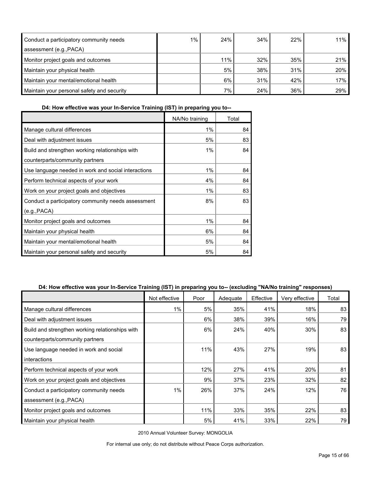| Conduct a participatory community needs    | 1% | 24% | 34% | 22% | 11% |
|--------------------------------------------|----|-----|-----|-----|-----|
| assessment (e.g., PACA)                    |    |     |     |     |     |
| Monitor project goals and outcomes         |    | 11% | 32% | 35% | 21% |
| Maintain your physical health              |    | 5%  | 38% | 31% | 20% |
| Maintain your mental/emotional health      |    | 6%  | 31% | 42% | 17% |
| Maintain your personal safety and security |    | 7%  | 24% | 36% | 29% |

**D4: How effective was your In-Service Training (IST) in preparing you to--**

|                                                     | NA/No training | Total |
|-----------------------------------------------------|----------------|-------|
| Manage cultural differences                         | 1%             | 84    |
| Deal with adjustment issues                         | 5%             | 83    |
| Build and strengthen working relationships with     | 1%             | 84    |
| counterparts/community partners                     |                |       |
| Use language needed in work and social interactions | 1%             | 84    |
| Perform technical aspects of your work              | 4%             | 84    |
| Work on your project goals and objectives           | 1%             | 83    |
| Conduct a participatory community needs assessment  | 8%             | 83    |
| (e.g., PACA)                                        |                |       |
| Monitor project goals and outcomes                  | 1%             | 84    |
| Maintain your physical health                       | 6%             | 84    |
| Maintain your mental/emotional health               | 5%             | 84    |
| Maintain your personal safety and security          | 5%             | 84    |

## **D4: How effective was your In-Service Training (IST) in preparing you to-- (excluding "NA/No training" responses)**

|                                                 | Not effective | Poor | Adequate | Effective | Very effective | Total |
|-------------------------------------------------|---------------|------|----------|-----------|----------------|-------|
| Manage cultural differences                     | 1%            | 5%   | 35%      | 41%       | 18%            | 83    |
| Deal with adjustment issues                     |               | 6%   | 38%      | 39%       | 16%            | 79    |
| Build and strengthen working relationships with |               | 6%   | 24%      | 40%       | 30%            | 83    |
| counterparts/community partners                 |               |      |          |           |                |       |
| Use language needed in work and social          |               | 11%  | 43%      | 27%       | 19%            | 83    |
| interactions                                    |               |      |          |           |                |       |
| Perform technical aspects of your work          |               | 12%  | 27%      | 41%       | 20%            | 81    |
| Work on your project goals and objectives       |               | 9%   | 37%      | 23%       | 32%            | 82    |
| Conduct a participatory community needs         | 1%            | 26%  | 37%      | 24%       | 12%            | 76    |
| assessment (e.g., PACA)                         |               |      |          |           |                |       |
| Monitor project goals and outcomes              |               | 11%  | 33%      | 35%       | 22%            | 83    |
| Maintain your physical health                   |               | 5%   | 41%      | 33%       | 22%            | 79    |

2010 Annual Volunteer Survey: MONGOLIA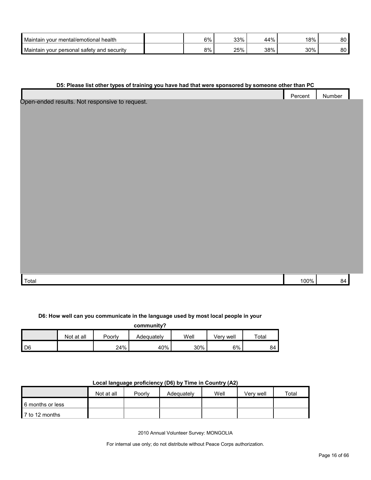| Maintain your mental/emotional health         | 6% | 33% | 44% | 18% | nn.<br>ου |
|-----------------------------------------------|----|-----|-----|-----|-----------|
| Maintain<br>wour personal safety and security | 8% | 25% | 38% | 30% | nn<br>ου  |

### **D5: Please list other types of training you have had that were sponsored by someone other than PC**

|                | Percent | Number |  |
|----------------|---------|--------|--|
| $\overline{a}$ |         |        |  |

Open-ended results. Not responsive to request.

| Total | $100\%$ | ` |
|-------|---------|---|

#### **D6: How well can you communicate in the language used by most local people in your**

**community?**

|      | Not at all | Poorly | Adequatelv | Well | Verv well | $\tau$ otal |
|------|------------|--------|------------|------|-----------|-------------|
| I D6 |            | 24%    | 40%        | 30%  | 6%        | 84          |

## **Local language proficiency (D6) by Time in Country (A2)**

|                  | Not at all | Poorly | Adequately | Well | Very well | Total |
|------------------|------------|--------|------------|------|-----------|-------|
| 6 months or less |            |        |            |      |           |       |
| ■ 7 to 12 months |            |        |            |      |           |       |

2010 Annual Volunteer Survey: MONGOLIA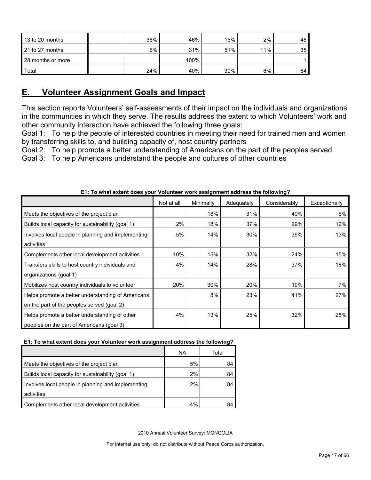| 13 to 20 months   | 38% | 46%  | 15% | 2%  | 48 |
|-------------------|-----|------|-----|-----|----|
| 21 to 27 months   | 6%  | 31%  | 51% | 11% | 35 |
| 28 months or more |     | 100% |     |     |    |
| Total             | 24% | 40%  | 30% | 6%  | 84 |

## <span id="page-16-0"></span>**E. Volunteer Assignment Goals and Impact**

This section reports Volunteers' self-assessments of their impact on the individuals and organizations in the communities in which they serve. The results address the extent to which Volunteers' work and other community interaction have achieved the following three goals:

Goal 1: To help the people of interested countries in meeting their need for trained men and women by transferring skills to, and building capacity of, host country partners

Goal 2: To help promote a better understanding of Americans on the part of the peoples served Goal 3: To help Americans understand the people and cultures of other countries

|                                                    | Not at all | Minimally | Adequately | Considerably | Exceptionally |
|----------------------------------------------------|------------|-----------|------------|--------------|---------------|
| Meets the objectives of the project plan           |            | 18%       | 31%        | 40%          | 6%            |
| Builds local capacity for sustainability (goal 1)  | 2%         | 18%       | 37%        | 29%          | 12%           |
| Involves local people in planning and implementing | 5%         | 14%       | 30%        | 36%          | 13%           |
| activities                                         |            |           |            |              |               |
| Complements other local development activities     | 10%        | 15%       | 32%        | 24%          | 15%           |
| Transfers skills to host country individuals and   | 4%         | 14%       | 28%        | 37%          | 16%           |
| organizations (goal 1)                             |            |           |            |              |               |
| Mobilizes host country individuals to volunteer    | 20%        | 30%       | 20%        | 19%          | 7%            |
| Helps promote a better understanding of Americans  |            | 8%        | 23%        | 41%          | 27%           |
| on the part of the peoples served (goal 2)         |            |           |            |              |               |
| Helps promote a better understanding of other      | 4%         | 13%       | 25%        | 32%          | 25%           |
| peoples on the part of Americans (goal 3)          |            |           |            |              |               |

## **E1: To what extent does your Volunteer work assignment address the following?**

#### **E1: To what extent does your Volunteer work assignment address the following?**

|                                                    | ΝA | Total |
|----------------------------------------------------|----|-------|
| Meets the objectives of the project plan           | 5% | 84    |
| Builds local capacity for sustainability (goal 1)  | 2% | 84    |
| Involves local people in planning and implementing | 2% | 84    |
| activities                                         |    |       |
| Complements other local development activities     | 4% |       |

2010 Annual Volunteer Survey: MONGOLIA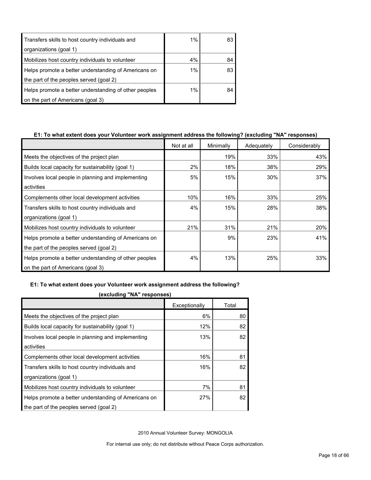| Transfers skills to host country individuals and      | $1\%$ | 83 |
|-------------------------------------------------------|-------|----|
| organizations (goal 1)                                |       |    |
| Mobilizes host country individuals to volunteer       | 4%    | 84 |
| Helps promote a better understanding of Americans on  | 1%    | 83 |
| the part of the peoples served (goal 2)               |       |    |
| Helps promote a better understanding of other peoples | $1\%$ | 84 |
| on the part of Americans (goal 3)                     |       |    |

## **E1: To what extent does your Volunteer work assignment address the following? (excluding "NA" responses)**

|                                                       | Not at all | Minimally | Adequately | Considerably |
|-------------------------------------------------------|------------|-----------|------------|--------------|
| Meets the objectives of the project plan              |            | 19%       | 33%        | 43%          |
| Builds local capacity for sustainability (goal 1)     | 2%         | 18%       | 38%        | 29%          |
| Involves local people in planning and implementing    | 5%         | 15%       | 30%        | 37%          |
| activities                                            |            |           |            |              |
| Complements other local development activities        | 10%        | 16%       | 33%        | 25%          |
| Transfers skills to host country individuals and      | 4%         | 15%       | 28%        | 38%          |
| organizations (goal 1)                                |            |           |            |              |
| Mobilizes host country individuals to volunteer       | 21%        | 31%       | 21%        | 20%          |
| Helps promote a better understanding of Americans on  |            | 9%        | 23%        | 41%          |
| the part of the peoples served (goal 2)               |            |           |            |              |
| Helps promote a better understanding of other peoples | 4%         | 13%       | 25%        | 33%          |
| on the part of Americans (goal 3)                     |            |           |            |              |

#### **E1: To what extent does your Volunteer work assignment address the following?**

| (excluding NA responses)                             |               |       |
|------------------------------------------------------|---------------|-------|
|                                                      | Exceptionally | Total |
| Meets the objectives of the project plan             | 6%            | 80    |
| Builds local capacity for sustainability (goal 1)    | 12%           | 82    |
| Involves local people in planning and implementing   | 13%           | 82    |
| activities                                           |               |       |
| Complements other local development activities       | 16%           | 81    |
| Transfers skills to host country individuals and     | 16%           | 82    |
| organizations (goal 1)                               |               |       |
| Mobilizes host country individuals to volunteer      | 7%            | 81    |
| Helps promote a better understanding of Americans on | 27%           | 82    |
| the part of the peoples served (goal 2)              |               |       |

**(excluding "NA" responses)**

2010 Annual Volunteer Survey: MONGOLIA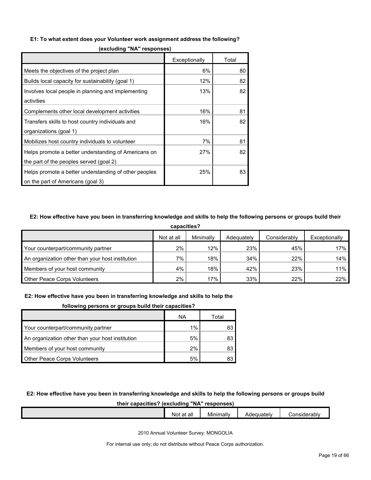#### **E1: To what extent does your Volunteer work assignment address the following?**

|                                                       | Exceptionally | Total |
|-------------------------------------------------------|---------------|-------|
| Meets the objectives of the project plan              | 6%            | 80    |
| Builds local capacity for sustainability (goal 1)     | 12%           | 82    |
| Involves local people in planning and implementing    | 13%           | 82    |
| activities                                            |               |       |
| Complements other local development activities        | 16%           | 81    |
| Transfers skills to host country individuals and      | 16%           | 82    |
| organizations (goal 1)                                |               |       |
| Mobilizes host country individuals to volunteer       | 7%            | 81    |
| Helps promote a better understanding of Americans on  | 27%           | 82    |
| the part of the peoples served (goal 2)               |               |       |
| Helps promote a better understanding of other peoples | 25%           | 83    |
| on the part of Americans (goal 3)                     |               |       |

**(excluding "NA" responses)**

### **E2: How effective have you been in transferring knowledge and skills to help the following persons or groups build their**

| capacities?                                      |            |           |            |              |               |  |  |  |
|--------------------------------------------------|------------|-----------|------------|--------------|---------------|--|--|--|
|                                                  | Not at all | Minimally | Adequately | Considerably | Exceptionally |  |  |  |
| Your counterpart/community partner               | 2%         | 12%       | 23%        | 45%          | 17%           |  |  |  |
| An organization other than your host institution | $7\%$      | 18%       | 34%        | 22%          | 14%           |  |  |  |
| Members of your host community                   | 4%         | 18%       | 42%        | 23%          | 11%           |  |  |  |
| <b>Other Peace Corps Volunteers</b>              | $2\%$      | 17%       | 33%        | 22%          | 22%           |  |  |  |

#### **E2: How effective have you been in transferring knowledge and skills to help the**

| following persons or groups build their capacities? |
|-----------------------------------------------------|
|-----------------------------------------------------|

|                                                  | ΝA | Total |
|--------------------------------------------------|----|-------|
| Your counterpart/community partner               | 1% | 83    |
| An organization other than your host institution | 5% | 83    |
| Members of your host community                   | 2% | 83    |
| <b>Other Peace Corps Volunteers</b>              | 5% |       |

#### **E2: How effective have you been in transferring knowledge and skills to help the following persons or groups build**

#### **their capacities? (excluding "NA" responses)**

|  | $\cdot$ .<br>at all<br>No | . .<br>. .<br>Minimally | Adequately | Considerably |
|--|---------------------------|-------------------------|------------|--------------|
|  |                           |                         |            |              |

2010 Annual Volunteer Survey: MONGOLIA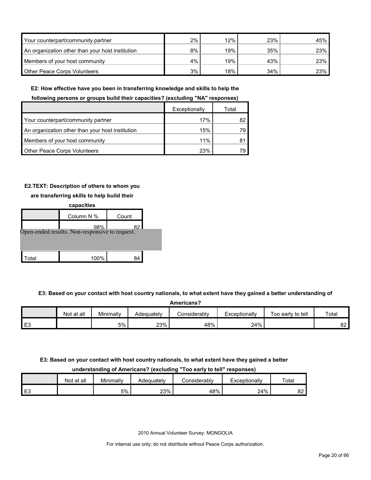| Your counterpart/community partner               | 2% | 12% | 23% | 45% |
|--------------------------------------------------|----|-----|-----|-----|
| An organization other than your host institution | 8% | 19% | 35% | 23% |
| Members of your host community                   | 4% | 19% | 43% | 23% |
| <b>Other Peace Corps Volunteers</b>              | 3% | 18% | 34% | 23% |

**E2: How effective have you been in transferring knowledge and skills to help the** 

#### **following persons or groups build their capacities? (excluding "NA" responses)**

|                                                  | Exceptionally | Total |
|--------------------------------------------------|---------------|-------|
| Your counterpart/community partner               | 17%           |       |
| An organization other than your host institution | 15%           | 79.   |
| Members of your host community                   | 11%           |       |
| <b>Other Peace Corps Volunteers</b>              | 23%           | 79.   |

## **E2.TEXT: Description of others to whom you**

## **are transferring skills to help build their**

|       | capacities                                     |       |  |
|-------|------------------------------------------------|-------|--|
|       | Column N %                                     | Count |  |
|       | 98%                                            | 82.   |  |
|       | Open-ended results. Non-responsive to request. |       |  |
|       |                                                |       |  |
|       |                                                |       |  |
| ⊺otal | 100%                                           |       |  |

#### **E3: Based on your contact with host country nationals, to what extent have they gained a better understanding of**

| Americans? |            |           |            |              |               |                   |       |  |  |
|------------|------------|-----------|------------|--------------|---------------|-------------------|-------|--|--|
|            | Not at all | Minimallv | Adequately | Considerablv | Exceptionally | Too early to tell | Total |  |  |
| EЗ         |            | 5%        | 23%        | 48%          | 24%           |                   | 82    |  |  |

## **E3: Based on your contact with host country nationals, to what extent have they gained a better**

#### **understanding of Americans? (excluding "Too early to tell" responses)**

|      | Not at all | Minimally | Adequatelv | Considerabl∨ | Exceptionally | ⊤otaı    |
|------|------------|-----------|------------|--------------|---------------|----------|
| l E3 |            | 5%        | 23%        | 48%          | 24%           | nn.<br>ັ |

2010 Annual Volunteer Survey: MONGOLIA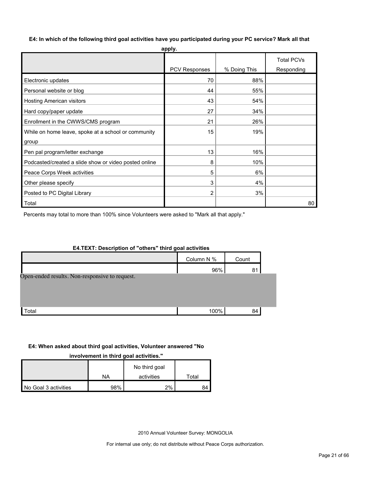**E4: In which of the following third goal activities have you participated during your PC service? Mark all that** 

|                                                       | apply.               |              |                                 |
|-------------------------------------------------------|----------------------|--------------|---------------------------------|
|                                                       | <b>PCV Responses</b> | % Doing This | <b>Total PCVs</b><br>Responding |
|                                                       |                      |              |                                 |
| Electronic updates                                    | 70                   | 88%          |                                 |
| Personal website or blog                              | 44                   | 55%          |                                 |
| Hosting American visitors                             | 43                   | 54%          |                                 |
| Hard copy/paper update                                | 27                   | 34%          |                                 |
| Enrollment in the CWWS/CMS program                    | 21                   | 26%          |                                 |
| While on home leave, spoke at a school or community   | 15                   | 19%          |                                 |
| group                                                 |                      |              |                                 |
| Pen pal program/letter exchange                       | 13                   | 16%          |                                 |
| Podcasted/created a slide show or video posted online | 8                    | 10%          |                                 |
| Peace Corps Week activities                           | 5                    | 6%           |                                 |
| Other please specify                                  | 3                    | 4%           |                                 |
| Posted to PC Digital Library                          | 2                    | 3%           |                                 |
| Total                                                 |                      |              | 80                              |

Percents may total to more than 100% since Volunteers were asked to "Mark all that apply."

### **E4.TEXT: Description of "others" third goal activities**

|                                                | Column N % | Count |  |
|------------------------------------------------|------------|-------|--|
|                                                | 96%        | 81    |  |
| Open-ended results. Non-responsive to request. |            |       |  |
|                                                |            |       |  |
|                                                |            |       |  |
| Total                                          | 100%       | 84    |  |

### **E4: When asked about third goal activities, Volunteer answered "No**

**involvement in third goal activities."** 

|                      |     | No third goal |       |
|----------------------|-----|---------------|-------|
|                      | NA  | activities    | ⊺otal |
| No Goal 3 activities | 98% | 2%            | 84    |

2010 Annual Volunteer Survey: MONGOLIA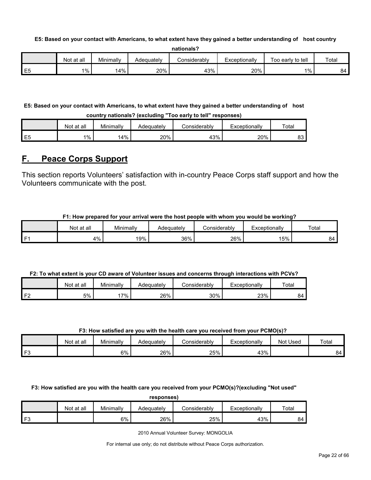#### **E5: Based on your contact with Americans, to what extent have they gained a better understanding of host country**

| nationals? |  |
|------------|--|
|------------|--|

|                  | Not at all | Minimally | Adequately | onsiderablvٽ | Exceptionally | Too early to tell | Total |
|------------------|------------|-----------|------------|--------------|---------------|-------------------|-------|
| $ -$<br>--<br>∟∪ | $1\%$      | l4%       | 20%        | 43%          | 20%           | 1%                | 84    |

## **E5: Based on your contact with Americans, to what extent have they gained a better understanding of host**

**country nationals? (excluding "Too early to tell" responses)**

|                | Not at all | Minimally | Adequately | Considerabl∨ | Exceptionally | Total    |
|----------------|------------|-----------|------------|--------------|---------------|----------|
| E <sub>5</sub> | $1\%$      | 14%       | 20%        | 43%          | 20%           | o٥<br>ບບ |

## <span id="page-21-0"></span>**F. Peace Corps Support**

This section reports Volunteers' satisfaction with in-country Peace Corps staff support and how the Volunteers communicate with the post.

## **F1: How prepared for your arrival were the host people with whom you would be working?**

|      | Not at all | Minimally | Adequatelv | onsiderablyٽ | Exceptionally | Total |
|------|------------|-----------|------------|--------------|---------------|-------|
| l F1 | 4%         | 19%       | 36%        | 26%          | 15%           | ⊀4    |

## **F2: To what extent is your CD aware of Volunteer issues and concerns through interactions with PCVs?**

|           | Not at all | Minimally | Adequately | ∴onsiderablv | Exceptionally | Total |
|-----------|------------|-----------|------------|--------------|---------------|-------|
| ∡ E∩<br>▵ | 5%         | $7\%$     | 26%        | $30\%$       | 23%           | 84    |

#### **F3: How satisfied are you with the health care you received from your PCMO(s)?**

|               | Not at all | Minimally | Adequatelv | onsiderablyٽ | Exceptionally | Not Used | Total |
|---------------|------------|-----------|------------|--------------|---------------|----------|-------|
| $\mathsf{F}3$ |            | 6%        | 26%        | 25%          | 43%           |          | 84    |

**F3: How satisfied are you with the health care you received from your PCMO(s)?(excluding "Not used"** 

**responses)**

|                | Not at all | Minimally | Adequately | Considerabl∨ | *xceptionally | Tota <sub>1</sub> |
|----------------|------------|-----------|------------|--------------|---------------|-------------------|
| r <sub>o</sub> |            | 6%        | 26%        | 25%          | 43%           | 84                |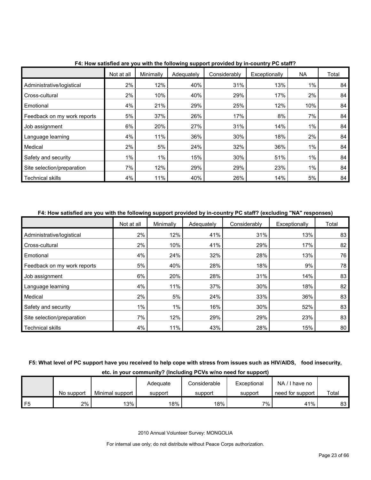|                             | Not at all | Minimally | Adequately | Considerably | Exceptionally | <b>NA</b> | Total |
|-----------------------------|------------|-----------|------------|--------------|---------------|-----------|-------|
| Administrative/logistical   | 2%         | 12%       | 40%        | 31%          | 13%           | 1%        | 84    |
| Cross-cultural              | 2%         | 10%       | 40%        | 29%          | 17%           | 2%        | 84    |
| Emotional                   | 4%         | 21%       | 29%        | 25%          | 12%           | 10%       | 84    |
| Feedback on my work reports | 5%         | 37%       | 26%        | 17%          | 8%            | 7%        | 84    |
| Job assignment              | 6%         | 20%       | 27%        | 31%          | 14%           | 1%        | 84    |
| Language learning           | 4%         | 11%       | 36%        | 30%          | 18%           | 2%        | 84    |
| Medical                     | 2%         | 5%        | 24%        | 32%          | 36%           | 1%        | 84    |
| Safety and security         | $1\%$      | 1%        | 15%        | 30%          | 51%           | 1%        | 84    |
| Site selection/preparation  | 7%         | 12%       | 29%        | 29%          | 23%           | $1\%$     | 84    |
| <b>Technical skills</b>     | $4\%$      | 11%       | 40%        | 26%          | 14%           | 5%        | 84    |

**F4: How satisfied are you with the following support provided by in-country PC staff?**

#### **F4: How satisfied are you with the following support provided by in-country PC staff? (excluding "NA" responses)**

|                             | Not at all | Minimally | Adequately | Considerably | Exceptionally | Total |
|-----------------------------|------------|-----------|------------|--------------|---------------|-------|
| Administrative/logistical   | 2%         | 12%       | 41%        | 31%          | 13%           | 83    |
| Cross-cultural              | 2%         | 10%       | 41%        | 29%          | 17%           | 82    |
| Emotional                   | 4%         | 24%       | 32%        | 28%          | 13%           | 76    |
| Feedback on my work reports | 5%         | 40%       | 28%        | 18%          | 9%            | 78    |
| Job assignment              | 6%         | 20%       | 28%        | 31%          | 14%           | 83    |
| Language learning           | 4%         | 11%       | 37%        | 30%          | 18%           | 82    |
| Medical                     | 2%         | 5%        | 24%        | 33%          | 36%           | 83    |
| Safety and security         | $1\%$      | 1%        | 16%        | 30%          | 52%           | 83    |
| Site selection/preparation  | 7%         | 12%       | 29%        | 29%          | 23%           | 83    |
| <b>Technical skills</b>     | 4%         | 11%       | 43%        | 28%          | 15%           | 80    |

## **F5: What level of PC support have you received to help cope with stress from issues such as HIV/AIDS, food insecurity, etc. in your community? (Including PCVs w/no need for support)**

|                |            |                 | Adequate | Considerable | Exceptional | NA/I have no     |       |
|----------------|------------|-----------------|----------|--------------|-------------|------------------|-------|
|                | No support | Minimal support | support  | support      | support     | need for support | Total |
| F <sub>5</sub> | 2%         | 13%             | $18\%$   | 18%          | 7%          | 41%              | 83    |

2010 Annual Volunteer Survey: MONGOLIA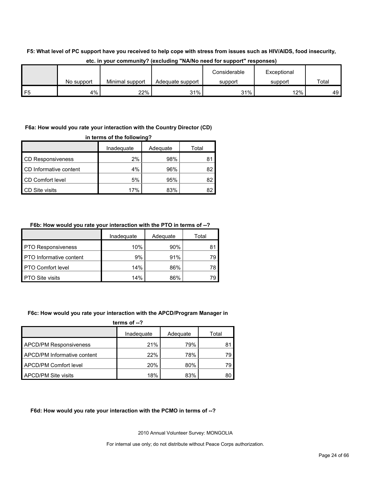## **F5: What level of PC support have you received to help cope with stress from issues such as HIV/AIDS, food insecurity,**

|         |            |                 |                  | Considerable | Exceptional |       |
|---------|------------|-----------------|------------------|--------------|-------------|-------|
|         | No support | Minimal support | Adequate support | support      | support     | Total |
| ᄄ<br>نٽ | 4%         | 22%             | 31%              | 31%          | 12%         | 49 F  |

### **etc. in your community? (excluding "NA/No need for support" responses)**

## **F6a: How would you rate your interaction with the Country Director (CD)**

| in terms of the following? |            |          |       |  |  |
|----------------------------|------------|----------|-------|--|--|
|                            | Inadequate | Adequate | Total |  |  |
| <b>CD Responsiveness</b>   | 2%         | 98%      | 81    |  |  |
| CD Informative content     | 4%         | 96%      | 82    |  |  |
| CD Comfort level           | 5%         | 95%      | 82    |  |  |
| <b>CD Site visits</b>      | 17%        | 83%      | 82    |  |  |

## **F6b: How would you rate your interaction with the PTO in terms of --?**

|                                | Inadequate | Adequate | Total |
|--------------------------------|------------|----------|-------|
| <b>PTO Responsiveness</b>      | 10%        | 90%      | 81    |
| <b>PTO</b> Informative content | 9%         | 91%      | 79    |
| <b>PTO Comfort level</b>       | 14%        | 86%      | 78    |
| <b>PTO Site visits</b>         | 14%        | 86%      | 79    |

#### **F6c: How would you rate your interaction with the APCD/Program Manager in**

| terms of $-2$                 |            |          |       |  |  |
|-------------------------------|------------|----------|-------|--|--|
|                               | Inadequate | Adequate | Total |  |  |
| <b>APCD/PM Responsiveness</b> | 21%        | 79%      | 81    |  |  |
| APCD/PM Informative content   | 22%        | 78%      | 79    |  |  |
| <b>APCD/PM Comfort level</b>  | 20%        | 80%      | 79    |  |  |
| APCD/PM Site visits           | 18%        | 83%      | 80    |  |  |

## **F6d: How would you rate your interaction with the PCMO in terms of --?**

2010 Annual Volunteer Survey: MONGOLIA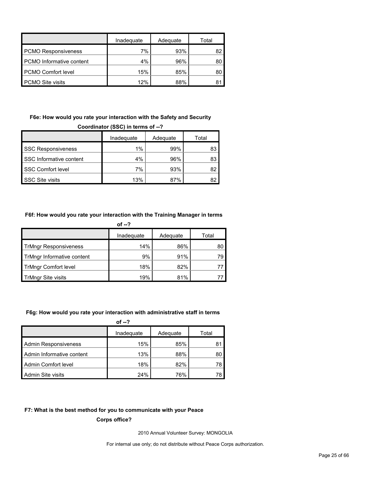|                                 | Inadequate | Adequate | Total |
|---------------------------------|------------|----------|-------|
| <b>PCMO Responsiveness</b>      | 7%         | 93%      | 82    |
| <b>PCMO</b> Informative content | $4\%$      | 96%      | 80    |
| <b>PCMO Comfort level</b>       | 15%        | 85%      | 80    |
| <b>PCMO Site visits</b>         | 12%        | 88%      |       |

## **F6e: How would you rate your interaction with the Safety and Security**

| Coordinator (SSC) in terms of --? |            |          |       |  |  |
|-----------------------------------|------------|----------|-------|--|--|
|                                   | Inadequate | Adequate | Total |  |  |
| <b>SSC Responsiveness</b>         | $1\%$      | 99%      | 83    |  |  |
| SSC Informative content           | 4%         | 96%      | 83    |  |  |
| <b>SSC Comfort level</b>          | 7%         | 93%      | 82    |  |  |
| <b>SSC Site visits</b>            | 13%        | 87%      |       |  |  |

### **F6f: How would you rate your interaction with the Training Manager in terms**

| of $-2$                      |            |          |       |  |  |
|------------------------------|------------|----------|-------|--|--|
|                              | Inadequate | Adequate | Total |  |  |
| <b>TrMngr Responsiveness</b> | 14%        | 86%      | 80    |  |  |
| TrMngr Informative content   | 9%         | 91%      | 79    |  |  |
| <b>TrMngr Comfort level</b>  | 18%        | 82%      |       |  |  |
| TrMngr Site visits           | 19%        | 81%      |       |  |  |

#### **F6g: How would you rate your interaction with administrative staff in terms**

| of $-2$                     |            |          |       |  |  |
|-----------------------------|------------|----------|-------|--|--|
|                             | Inadequate | Adequate | Total |  |  |
| <b>Admin Responsiveness</b> | 15%        | 85%      | 81    |  |  |
| Admin Informative content   | 13%        | 88%      | 80    |  |  |
| Admin Comfort level         | 18%        | 82%      | 78    |  |  |
| Admin Site visits           | 24%        | 76%      |       |  |  |

### **F7: What is the best method for you to communicate with your Peace**

**Corps office?**

2010 Annual Volunteer Survey: MONGOLIA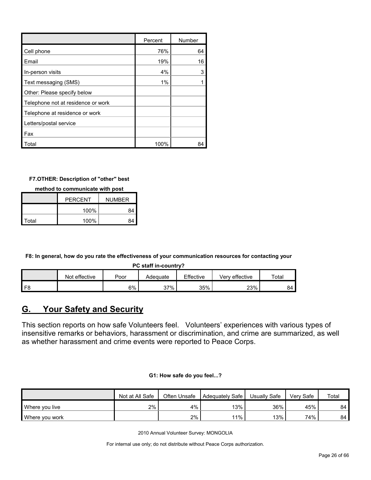|                                    | Percent | Number |
|------------------------------------|---------|--------|
| Cell phone                         | 76%     | 64     |
| Email                              | 19%     | 16     |
| In-person visits                   | 4%      | 3      |
| Text messaging (SMS)               | 1%      |        |
| Other: Please specify below        |         |        |
| Telephone not at residence or work |         |        |
| Telephone at residence or work     |         |        |
| Letters/postal service             |         |        |
| Fax                                |         |        |
| Total                              | 100%    | 84     |

## **F7.OTHER: Description of "other" best**

**method to communicate with post**

|       | <b>PERCENT</b> | <b>NUMBER</b> |
|-------|----------------|---------------|
|       | 100%           | 84            |
| Total | 100%           | 84            |

**F8: In general, how do you rate the effectiveness of your communication resources for contacting your** 

**PC staff in-country?**

|                | effective<br>Not. | Poor | Adequate | Effective | Verv effective | Total |
|----------------|-------------------|------|----------|-----------|----------------|-------|
| F <sub>8</sub> |                   | 6%   | 37%      | 35%       | 23%            | 84    |

## <span id="page-25-0"></span>**G. Your Safety and Security**

This section reports on how safe Volunteers feel. Volunteers' experiences with various types of insensitive remarks or behaviors, harassment or discrimination, and crime are summarized, as well as whether harassment and crime events were reported to Peace Corps.

|  |  | G1: How safe do you feel? |  |
|--|--|---------------------------|--|
|  |  |                           |  |

|                | Not at All Safe | Often Unsafe | Adequately Safe I | Usually Safe | Verv Safe | Total |
|----------------|-----------------|--------------|-------------------|--------------|-----------|-------|
| Where you live | 2%              | 4%           | 13%               | 36%          | 45%       | 84    |
| Where you work |                 | 2%           | 11%               | 13%          | 74%       | 84    |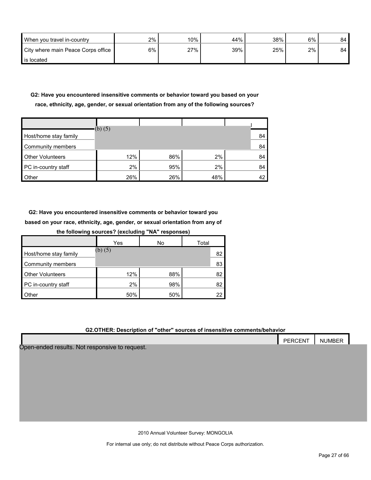| When you travel in-country         | 2% | $10\%$ | 44% | 38% | 6% | 84 |
|------------------------------------|----|--------|-----|-----|----|----|
| City where main Peace Corps office | 6% | 27%    | 39% | 25% | 2% | 84 |
| is located                         |    |        |     |     |    |    |

## **G2: Have you encountered insensitive comments or behavior toward you based on your race, ethnicity, age, gender, or sexual orientation from any of the following sources?**

| Host/home stay family   | (b) $(5)$ |     |     | 84 |
|-------------------------|-----------|-----|-----|----|
| Community members       |           |     |     | 84 |
| <b>Other Volunteers</b> | 12%       | 86% | 2%  | 84 |
| PC in-country staff     | 2%        | 95% | 2%  | 84 |
| Other                   | 26%       | 26% | 48% | 42 |

**G2: Have you encountered insensitive comments or behavior toward you based on your race, ethnicity, age, gender, or sexual orientation from any of** 

| the following sources? (excluding "NA" responses) |           |     |       |  |  |  |  |  |
|---------------------------------------------------|-----------|-----|-------|--|--|--|--|--|
|                                                   | Yes<br>No |     | Total |  |  |  |  |  |
| Host/home stay family                             | (b) (5)   |     | 82    |  |  |  |  |  |
| Community members                                 |           |     | 83    |  |  |  |  |  |
| <b>Other Volunteers</b>                           | 12%       | 88% | 82    |  |  |  |  |  |
| PC in-country staff                               | 2%        | 98% | 82    |  |  |  |  |  |
| Other                                             | 50%       | 50% | 22    |  |  |  |  |  |

## **G2.OTHER: Description of "other" sources of insensitive comments/behavior**

|                                                | <b>PERCENT</b> | <b>NUMBER</b> |
|------------------------------------------------|----------------|---------------|
| Open-ended results. Not responsive to request. |                |               |

2010 Annual Volunteer Survey: MONGOLIA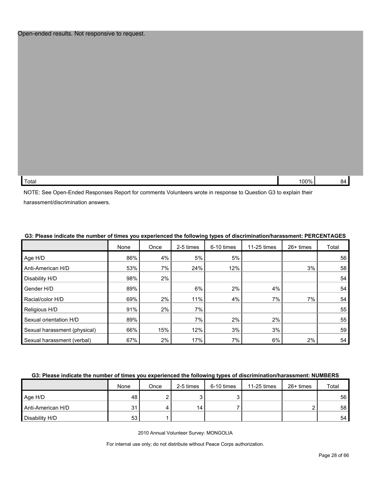#### Open-ended results. Not responsive to request.

| . –                               | ነበበ% |  |
|-----------------------------------|------|--|
| ™otal<br>$\overline{\phantom{0}}$ |      |  |

NOTE: See Open-Ended Responses Report for comments Volunteers wrote in response to Question G3 to explain their harassment/discrimination answers.

|                              | None | Once  | 2-5 times | 6-10 times | 11-25 times | 26+ times | Total |
|------------------------------|------|-------|-----------|------------|-------------|-----------|-------|
| Age H/D                      | 86%  | 4%    | 5%        | 5%         |             |           | 56    |
| Anti-American H/D            | 53%  | 7%    | 24%       | 12%        |             | 3%        | 58    |
| Disability H/D               | 98%  | $2\%$ |           |            |             |           | 54    |
| Gender H/D                   | 89%  |       | 6%        | 2%         | 4%          |           | 54    |
| Racial/color H/D             | 69%  | 2%    | 11%       | 4%         | 7%          | 7%        | 54    |
| Religious H/D                | 91%  | 2%    | 7%        |            |             |           | 55    |
| Sexual orientation H/D       | 89%  |       | 7%        | 2%         | 2%          |           | 55    |
| Sexual harassment (physical) | 66%  | 15%   | 12%       | 3%         | 3%          |           | 59    |
| Sexual harassment (verbal)   | 67%  | 2%    | 17%       | 7%         | 6%          | 2%        | 54    |

#### **G3: Please indicate the number of times you experienced the following types of discrimination/harassment: PERCENTAGES**

#### **G3: Please indicate the number of times you experienced the following types of discrimination/harassment: NUMBERS**

|                   | None    | Once | 2-5 times | 6-10 times | 11-25 times | $26+$ times | Total |
|-------------------|---------|------|-----------|------------|-------------|-------------|-------|
| Age H/D           | 48      |      |           |            |             |             | 56    |
| Anti-American H/D | 21<br>ີ |      | 14        |            |             |             | 58    |
| Disability H/D    | 53      |      |           |            |             |             | 54    |

2010 Annual Volunteer Survey: MONGOLIA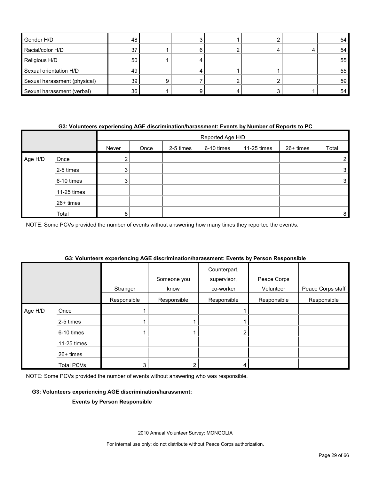| Gender H/D                   | 48              |  |  | 54 |
|------------------------------|-----------------|--|--|----|
| Racial/color H/D             | 37              |  |  | 54 |
| Religious H/D                | 50 <sub>1</sub> |  |  | 55 |
| Sexual orientation H/D       | 49              |  |  | 55 |
| Sexual harassment (physical) | 39              |  |  | 59 |
| Sexual harassment (verbal)   | 36              |  |  | 54 |

#### **G3: Volunteers experiencing AGE discrimination/harassment: Events by Number of Reports to PC**

|         |             |        | Reported Age H/D |           |            |             |           |                |  |  |  |
|---------|-------------|--------|------------------|-----------|------------|-------------|-----------|----------------|--|--|--|
|         |             | Never  | Once             | 2-5 times | 6-10 times | 11-25 times | 26+ times | Total          |  |  |  |
| Age H/D | Once        | ◠<br>ے |                  |           |            |             |           | 2 <sub>1</sub> |  |  |  |
|         | 2-5 times   | 3      |                  |           |            |             |           | 3              |  |  |  |
|         | 6-10 times  | 3      |                  |           |            |             |           | 3              |  |  |  |
|         | 11-25 times |        |                  |           |            |             |           |                |  |  |  |
|         | 26+ times   |        |                  |           |            |             |           |                |  |  |  |
|         | Total       | 8      |                  |           |            |             |           | 8              |  |  |  |

NOTE: Some PCVs provided the number of events without answering how many times they reported the event/s.

|  | G3: Volunteers experiencing AGE discrimination/harassment: Events by Person Responsible |  |
|--|-----------------------------------------------------------------------------------------|--|
|  |                                                                                         |  |

|         |                   |             |             | Counterpart, |             |                   |
|---------|-------------------|-------------|-------------|--------------|-------------|-------------------|
|         |                   |             | Someone you | supervisor,  | Peace Corps |                   |
|         |                   | Stranger    | know        | co-worker    | Volunteer   | Peace Corps staff |
|         |                   | Responsible | Responsible | Responsible  | Responsible | Responsible       |
| Age H/D | Once              |             |             |              |             |                   |
|         | 2-5 times         |             |             |              |             |                   |
|         | 6-10 times        |             |             |              |             |                   |
|         | 11-25 times       |             |             |              |             |                   |
|         | 26+ times         |             |             |              |             |                   |
|         | <b>Total PCVs</b> | 3           |             |              |             |                   |

NOTE: Some PCVs provided the number of events without answering who was responsible.

#### **G3: Volunteers experiencing AGE discrimination/harassment:**

#### **Events by Person Responsible**

2010 Annual Volunteer Survey: MONGOLIA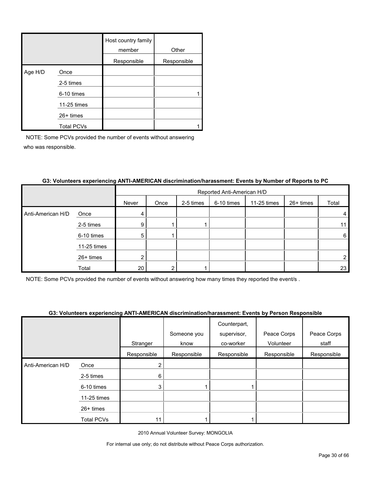|         |                   | Host country family<br>member | Other       |
|---------|-------------------|-------------------------------|-------------|
|         |                   | Responsible                   | Responsible |
| Age H/D | Once              |                               |             |
|         | 2-5 times         |                               |             |
|         | 6-10 times        |                               |             |
|         | 11-25 times       |                               |             |
|         | $26+$ times       |                               |             |
|         | <b>Total PCVs</b> |                               |             |

|                   |             | Reported Anti-American H/D |      |           |            |             |           |       |  |
|-------------------|-------------|----------------------------|------|-----------|------------|-------------|-----------|-------|--|
|                   |             | Never                      | Once | 2-5 times | 6-10 times | 11-25 times | 26+ times | Total |  |
| Anti-American H/D | Once        | 4                          |      |           |            |             |           | 4     |  |
|                   | 2-5 times   | 9                          |      |           |            |             |           | 11    |  |
|                   | 6-10 times  | 5                          |      |           |            |             |           | 6     |  |
|                   | 11-25 times |                            |      |           |            |             |           |       |  |
|                   | 26+ times   | ົ                          |      |           |            |             |           | 2     |  |
|                   | Total       | 20                         | ◠    |           |            |             |           | 23    |  |

### **G3: Volunteers experiencing ANTI-AMERICAN discrimination/harassment: Events by Number of Reports to PC**

NOTE: Some PCVs provided the number of events without answering how many times they reported the event/s .

### **G3: Volunteers experiencing ANTI-AMERICAN discrimination/harassment: Events by Person Responsible**

|                   |             |             |             | Counterpart, |             |             |
|-------------------|-------------|-------------|-------------|--------------|-------------|-------------|
|                   |             |             | Someone you | supervisor,  | Peace Corps | Peace Corps |
|                   |             | Stranger    | know        | co-worker    | Volunteer   | staff       |
|                   |             | Responsible | Responsible | Responsible  | Responsible | Responsible |
| Anti-American H/D | Once        |             |             |              |             |             |
|                   | 2-5 times   | 6           |             |              |             |             |
|                   | 6-10 times  | 3           |             |              |             |             |
|                   | 11-25 times |             |             |              |             |             |
|                   | 26+ times   |             |             |              |             |             |
|                   | Total PCVs  |             |             |              |             |             |

2010 Annual Volunteer Survey: MONGOLIA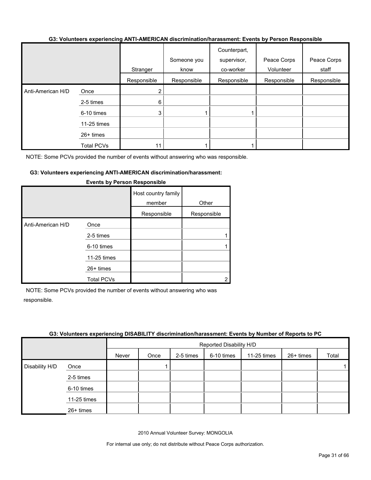#### **G3: Volunteers experiencing ANTI-AMERICAN discrimination/harassment: Events by Person Responsible**

|                   |                   | Stranger    | Someone you<br>know | Counterpart,<br>supervisor,<br>co-worker | Peace Corps<br>Volunteer | Peace Corps<br>staff |
|-------------------|-------------------|-------------|---------------------|------------------------------------------|--------------------------|----------------------|
|                   |                   | Responsible | Responsible         | Responsible                              | Responsible              | Responsible          |
| Anti-American H/D | Once              | 2           |                     |                                          |                          |                      |
|                   | 2-5 times         | 6           |                     |                                          |                          |                      |
|                   | 6-10 times        | 3           |                     |                                          |                          |                      |
|                   | 11-25 times       |             |                     |                                          |                          |                      |
|                   | $26+$ times       |             |                     |                                          |                          |                      |
|                   | <b>Total PCVs</b> | 11          |                     |                                          |                          |                      |

NOTE: Some PCVs provided the number of events without answering who was responsible.

#### **G3: Volunteers experiencing ANTI-AMERICAN discrimination/harassment:**

|                   |                                                | Host country family<br>member<br>Responsible | Other<br>Responsible |
|-------------------|------------------------------------------------|----------------------------------------------|----------------------|
| Anti-American H/D | Once<br>2-5 times<br>6-10 times<br>11-25 times |                                              |                      |
|                   | 26+ times<br><b>Total PCVs</b>                 |                                              |                      |

#### **Events by Person Responsible**

NOTE: Some PCVs provided the number of events without answering who was responsible.

#### **G3: Volunteers experiencing DISABILITY discrimination/harassment: Events by Number of Reports to PC**

|                |             |       | Reported Disability H/D |           |            |             |           |       |  |  |
|----------------|-------------|-------|-------------------------|-----------|------------|-------------|-----------|-------|--|--|
|                |             | Never | Once                    | 2-5 times | 6-10 times | 11-25 times | 26+ times | Total |  |  |
| Disability H/D | Once        |       |                         |           |            |             |           |       |  |  |
|                | 2-5 times   |       |                         |           |            |             |           |       |  |  |
|                | 6-10 times  |       |                         |           |            |             |           |       |  |  |
|                | 11-25 times |       |                         |           |            |             |           |       |  |  |
|                | 26+ times   |       |                         |           |            |             |           |       |  |  |

2010 Annual Volunteer Survey: MONGOLIA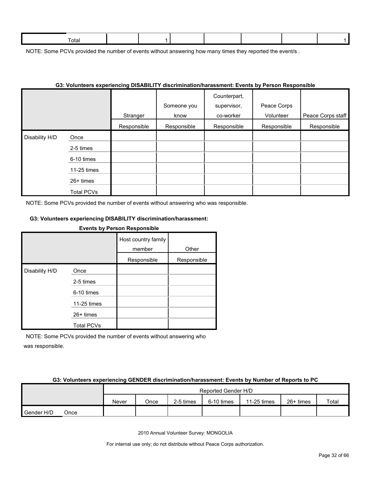| otal |  |  |  |  |
|------|--|--|--|--|
|      |  |  |  |  |

NOTE: Some PCVs provided the number of events without answering how many times they reported the event/s.

| G3: Volunteers experiencing DISABILITY discrimination/harassment: Events by Person Responsible |                   |             |             |              |             |                   |  |  |  |  |
|------------------------------------------------------------------------------------------------|-------------------|-------------|-------------|--------------|-------------|-------------------|--|--|--|--|
|                                                                                                |                   |             |             | Counterpart, |             |                   |  |  |  |  |
|                                                                                                |                   |             | Someone you | supervisor,  | Peace Corps |                   |  |  |  |  |
|                                                                                                |                   | Stranger    | know        | co-worker    | Volunteer   | Peace Corps staff |  |  |  |  |
|                                                                                                |                   | Responsible | Responsible | Responsible  | Responsible | Responsible       |  |  |  |  |
| Disability H/D                                                                                 | Once              |             |             |              |             |                   |  |  |  |  |
|                                                                                                | 2-5 times         |             |             |              |             |                   |  |  |  |  |
|                                                                                                | 6-10 times        |             |             |              |             |                   |  |  |  |  |
|                                                                                                | 11-25 times       |             |             |              |             |                   |  |  |  |  |
|                                                                                                | $26+$ times       |             |             |              |             |                   |  |  |  |  |
|                                                                                                | <b>Total PCVs</b> |             |             |              |             |                   |  |  |  |  |

#### **G3: Volunteers experiencing DISABILITY discrimination/harassment: Events by Person Responsible**

NOTE: Some PCVs provided the number of events without answering who was responsible.

#### **G3: Volunteers experiencing DISABILITY discrimination/harassment:**

## **Events by Person Responsible** Host country family member Other Responsible Responsible Disability H/D Once 2-5 times 6-10 times 11-25 times 26+ times Total PCVs

NOTE: Some PCVs provided the number of events without answering who was responsible.

#### **G3: Volunteers experiencing GENDER discrimination/harassment: Events by Number of Reports to PC**

|            |      | Reported Gender H/D |      |           |            |             |           |       |
|------------|------|---------------------|------|-----------|------------|-------------|-----------|-------|
|            |      | Never               | Once | 2-5 times | 6-10 times | 11-25 times | 26+ times | Total |
| Gender H/D | Once |                     |      |           |            |             |           |       |

2010 Annual Volunteer Survey: MONGOLIA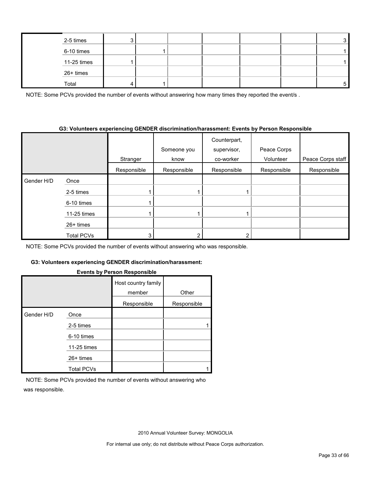| 2-5 times   |  |  |  | ົ |
|-------------|--|--|--|---|
| 6-10 times  |  |  |  |   |
| 11-25 times |  |  |  |   |
| 26+ times   |  |  |  |   |
| Total       |  |  |  |   |

NOTE: Some PCVs provided the number of events without answering how many times they reported the event/s.

#### **G3: Volunteers experiencing GENDER discrimination/harassment: Events by Person Responsible**

|            |             |             | Someone you | Counterpart,<br>supervisor, | Peace Corps |                   |
|------------|-------------|-------------|-------------|-----------------------------|-------------|-------------------|
|            |             |             |             |                             |             |                   |
|            |             | Stranger    | know        | co-worker                   | Volunteer   | Peace Corps staff |
|            |             | Responsible | Responsible | Responsible                 | Responsible | Responsible       |
| Gender H/D | Once        |             |             |                             |             |                   |
|            | 2-5 times   |             |             |                             |             |                   |
|            | 6-10 times  |             |             |                             |             |                   |
|            | 11-25 times |             |             |                             |             |                   |
|            | 26+ times   |             |             |                             |             |                   |
|            | Total PCVs  |             |             |                             |             |                   |

NOTE: Some PCVs provided the number of events without answering who was responsible.

### **G3: Volunteers experiencing GENDER discrimination/harassment:**

### **Events by Person Responsible**

|            |                   | --- <b>--</b> -----           |             |
|------------|-------------------|-------------------------------|-------------|
|            |                   | Host country family<br>member | Other       |
|            |                   | Responsible                   | Responsible |
| Gender H/D | Once              |                               |             |
|            | 2-5 times         |                               |             |
|            | 6-10 times        |                               |             |
|            | 11-25 times       |                               |             |
|            | $26+$ times       |                               |             |
|            | <b>Total PCVs</b> |                               |             |

NOTE: Some PCVs provided the number of events without answering who was responsible.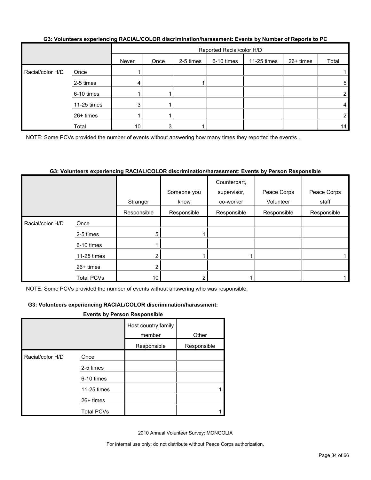|                  | OU. TURNINGI U INGLUI INDIALI UULUI MUUTI IIIIIKUUMIKI KUUNI LYGIIL LYGIILU NY ITUMINGI UI INGLUI U LU LU |       |      |                           |            |             |           |       |
|------------------|-----------------------------------------------------------------------------------------------------------|-------|------|---------------------------|------------|-------------|-----------|-------|
|                  |                                                                                                           |       |      | Reported Racial/color H/D |            |             |           |       |
|                  |                                                                                                           | Never | Once | 2-5 times                 | 6-10 times | 11-25 times | 26+ times | Total |
| Racial/color H/D | Once                                                                                                      |       |      |                           |            |             |           |       |
|                  | 2-5 times                                                                                                 | 4     |      |                           |            |             |           | 5     |
|                  | 6-10 times                                                                                                |       |      |                           |            |             |           | 2     |
|                  | 11-25 times                                                                                               | 3     |      |                           |            |             |           | 4     |
|                  | 26+ times                                                                                                 |       |      |                           |            |             |           | 2     |
|                  | Total                                                                                                     | 10    | 3    |                           |            |             |           | 14    |

#### **G3: Volunteers experiencing RACIAL/COLOR discrimination/harassment: Events by Number of Reports to PC**

NOTE: Some PCVs provided the number of events without answering how many times they reported the event/s.

#### **G3: Volunteers experiencing RACIAL/COLOR discrimination/harassment: Events by Person Responsible**

|                  |                   | Stranger    | Someone you<br>know | Counterpart,<br>supervisor,<br>co-worker | Peace Corps<br>Volunteer | Peace Corps<br>staff |
|------------------|-------------------|-------------|---------------------|------------------------------------------|--------------------------|----------------------|
|                  |                   | Responsible | Responsible         | Responsible                              | Responsible              | Responsible          |
| Racial/color H/D | Once              |             |                     |                                          |                          |                      |
|                  | 2-5 times         | 5           |                     |                                          |                          |                      |
|                  | 6-10 times        |             |                     |                                          |                          |                      |
|                  | 11-25 times       | ╭           |                     |                                          |                          |                      |
|                  | $26+$ times       | ົ           |                     |                                          |                          |                      |
|                  | <b>Total PCVs</b> | 10          |                     |                                          |                          |                      |

NOTE: Some PCVs provided the number of events without answering who was responsible.

#### **G3: Volunteers experiencing RACIAL/COLOR discrimination/harassment:**

#### **Events by Person Responsible**

|                  |                   | Host country family<br>member | Other       |
|------------------|-------------------|-------------------------------|-------------|
|                  |                   | Responsible                   | Responsible |
| Racial/color H/D | Once              |                               |             |
|                  | 2-5 times         |                               |             |
|                  | 6-10 times        |                               |             |
|                  | 11-25 times       |                               |             |
|                  | $26+$ times       |                               |             |
|                  | <b>Total PCVs</b> |                               |             |

2010 Annual Volunteer Survey: MONGOLIA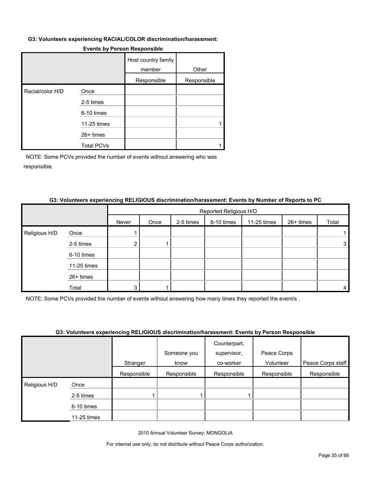#### **G3: Volunteers experiencing RACIAL/COLOR discrimination/harassment:**

|                  |                   | Host country family<br>member | Other       |
|------------------|-------------------|-------------------------------|-------------|
|                  |                   | Responsible                   | Responsible |
| Racial/color H/D | Once              |                               |             |
|                  | 2-5 times         |                               |             |
|                  | 6-10 times        |                               |             |
|                  | 11-25 times       |                               |             |
|                  | $26+$ times       |                               |             |
|                  | <b>Total PCVs</b> |                               |             |

#### **Events by Person Responsible**

NOTE: Some PCVs provided the number of events without answering who was responsible.

#### **G3: Volunteers experiencing RELIGIOUS discrimination/harassment: Events by Number of Reports to PC**

|               |             |       | Reported Religious H/D |           |            |             |           |       |
|---------------|-------------|-------|------------------------|-----------|------------|-------------|-----------|-------|
|               |             | Never | Once                   | 2-5 times | 6-10 times | 11-25 times | 26+ times | Total |
| Religious H/D | Once        |       |                        |           |            |             |           |       |
|               | 2-5 times   |       |                        |           |            |             |           | 3     |
|               | 6-10 times  |       |                        |           |            |             |           |       |
|               | 11-25 times |       |                        |           |            |             |           |       |
|               | 26+ times   |       |                        |           |            |             |           |       |
|               | Total       | 3.    |                        |           |            |             |           | 4     |

NOTE: Some PCVs provided the number of events without answering how many times they reported the event/s .

#### **G3: Volunteers experiencing RELIGIOUS discrimination/harassment: Events by Person Responsible**

|                    |             |             | <u>aal taluusala suballallalla laineetaa alaaluulluustalluu usallialla myössä alaallisaaballalla</u> |              |             |                   |
|--------------------|-------------|-------------|------------------------------------------------------------------------------------------------------|--------------|-------------|-------------------|
|                    |             |             |                                                                                                      | Counterpart, | Peace Corps |                   |
|                    |             |             | Someone you                                                                                          | supervisor,  |             |                   |
|                    |             | Stranger    | know                                                                                                 | co-worker    | Volunteer   | Peace Corps staff |
|                    |             | Responsible | Responsible                                                                                          | Responsible  | Responsible | Responsible       |
| Religious H/D<br>I | Once        |             |                                                                                                      |              |             |                   |
|                    | 2-5 times   |             |                                                                                                      |              |             |                   |
|                    | 6-10 times  |             |                                                                                                      |              |             |                   |
|                    | 11-25 times |             |                                                                                                      |              |             |                   |

2010 Annual Volunteer Survey: MONGOLIA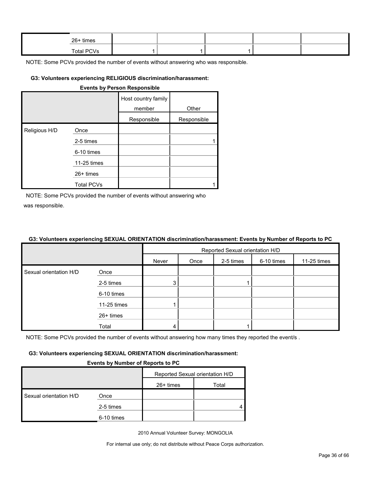| 26+ times  |  |  |  |
|------------|--|--|--|
| Total PCVs |  |  |  |

### **G3: Volunteers experiencing RELIGIOUS discrimination/harassment:**

|               | <b>Events by Person Responsible</b> |                               |             |  |  |  |  |  |  |
|---------------|-------------------------------------|-------------------------------|-------------|--|--|--|--|--|--|
|               |                                     | Host country family<br>member | Other       |  |  |  |  |  |  |
|               |                                     | Responsible                   | Responsible |  |  |  |  |  |  |
| Religious H/D | Once                                |                               |             |  |  |  |  |  |  |
|               | 2-5 times                           |                               |             |  |  |  |  |  |  |
|               | 6-10 times                          |                               |             |  |  |  |  |  |  |
|               | 11-25 times                         |                               |             |  |  |  |  |  |  |
|               | 26+ times                           |                               |             |  |  |  |  |  |  |
|               | <b>Total PCVs</b>                   |                               |             |  |  |  |  |  |  |

NOTE: Some PCVs provided the number of events without answering who was responsible.

#### **G3: Volunteers experiencing SEXUAL ORIENTATION discrimination/harassment: Events by Number of Reports to PC**

|                        |             | Reported Sexual orientation H/D |      |           |            |             |  |
|------------------------|-------------|---------------------------------|------|-----------|------------|-------------|--|
|                        |             | Never                           | Once | 2-5 times | 6-10 times | 11-25 times |  |
| Sexual orientation H/D | Once        |                                 |      |           |            |             |  |
|                        | 2-5 times   | 3                               |      |           |            |             |  |
|                        | 6-10 times  |                                 |      |           |            |             |  |
|                        | 11-25 times |                                 |      |           |            |             |  |
|                        | 26+ times   |                                 |      |           |            |             |  |
|                        | Total       |                                 |      |           |            |             |  |

NOTE: Some PCVs provided the number of events without answering how many times they reported the event/s.

#### **G3: Volunteers experiencing SEXUAL ORIENTATION discrimination/harassment:**

#### **Events by Number of Reports to PC**

|                        |            | Reported Sexual orientation H/D |       |  |  |
|------------------------|------------|---------------------------------|-------|--|--|
|                        |            | $26+$ times                     | Total |  |  |
| Sexual orientation H/D | Once       |                                 |       |  |  |
|                        | 2-5 times  |                                 |       |  |  |
|                        | 6-10 times |                                 |       |  |  |

2010 Annual Volunteer Survey: MONGOLIA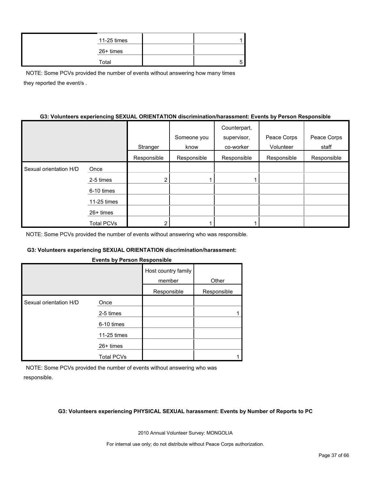| 11-25 times |  |
|-------------|--|
| 26+ times   |  |
| Total       |  |

NOTE: Some PCVs provided the number of events without answering how many times they reported the event/s .

#### **G3: Volunteers experiencing SEXUAL ORIENTATION discrimination/harassment: Events by Person Responsible**

|                        |                   |             |             | Counterpart, |             |             |
|------------------------|-------------------|-------------|-------------|--------------|-------------|-------------|
|                        |                   |             | Someone you | supervisor,  | Peace Corps | Peace Corps |
|                        |                   | Stranger    | know        | co-worker    | Volunteer   | staff       |
|                        |                   | Responsible | Responsible | Responsible  | Responsible | Responsible |
| Sexual orientation H/D | Once              |             |             |              |             |             |
|                        | 2-5 times         |             |             |              |             |             |
|                        | 6-10 times        |             |             |              |             |             |
|                        | 11-25 times       |             |             |              |             |             |
|                        | $26+$ times       |             |             |              |             |             |
|                        | <b>Total PCVs</b> |             |             |              |             |             |

NOTE: Some PCVs provided the number of events without answering who was responsible.

#### **G3: Volunteers experiencing SEXUAL ORIENTATION discrimination/harassment:**

#### **Events by Person Responsible**

|                        |                   | Host country family<br>member | Other       |
|------------------------|-------------------|-------------------------------|-------------|
|                        |                   | Responsible                   | Responsible |
| Sexual orientation H/D | Once              |                               |             |
|                        | 2-5 times         |                               |             |
|                        | 6-10 times        |                               |             |
|                        | 11-25 times       |                               |             |
|                        | $26+$ times       |                               |             |
|                        | <b>Total PCVs</b> |                               |             |

NOTE: Some PCVs provided the number of events without answering who was responsible.

#### **G3: Volunteers experiencing PHYSICAL SEXUAL harassment: Events by Number of Reports to PC**

2010 Annual Volunteer Survey: MONGOLIA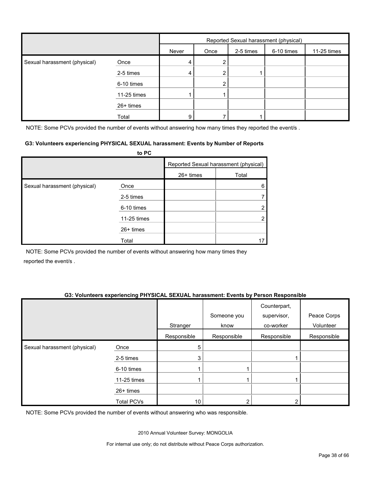|                              |             | Reported Sexual harassment (physical) |      |           |            |             |
|------------------------------|-------------|---------------------------------------|------|-----------|------------|-------------|
|                              |             | Never                                 | Once | 2-5 times | 6-10 times | 11-25 times |
| Sexual harassment (physical) | Once        | 4                                     | Ω    |           |            |             |
|                              | 2-5 times   | 4                                     | 2    |           |            |             |
|                              | 6-10 times  |                                       | 2    |           |            |             |
|                              | 11-25 times |                                       |      |           |            |             |
|                              | 26+ times   |                                       |      |           |            |             |
|                              | Total       | 9                                     |      |           |            |             |

NOTE: Some PCVs provided the number of events without answering how many times they reported the event/s.

#### **G3: Volunteers experiencing PHYSICAL SEXUAL harassment: Events by Number of Reports**

|                              | to PC       |             |                                       |
|------------------------------|-------------|-------------|---------------------------------------|
|                              |             |             | Reported Sexual harassment (physical) |
|                              |             | $26+$ times | Total                                 |
| Sexual harassment (physical) | Once        |             | 6                                     |
|                              | 2-5 times   |             |                                       |
|                              | 6-10 times  |             | າ                                     |
|                              | 11-25 times |             | 2                                     |
|                              | 26+ times   |             |                                       |
|                              | Total       |             |                                       |

NOTE: Some PCVs provided the number of events without answering how many times they reported the event/s .

#### **G3: Volunteers experiencing PHYSICAL SEXUAL harassment: Events by Person Responsible**

|                              |                   | Stranger    | Someone you<br>know | Counterpart,<br>supervisor,<br>co-worker | Peace Corps<br>Volunteer |
|------------------------------|-------------------|-------------|---------------------|------------------------------------------|--------------------------|
|                              |                   | Responsible | Responsible         | Responsible                              | Responsible              |
| Sexual harassment (physical) | Once              | 5           |                     |                                          |                          |
|                              | 2-5 times         | 3           |                     |                                          |                          |
|                              | 6-10 times        |             |                     |                                          |                          |
|                              | 11-25 times       |             |                     |                                          |                          |
|                              | 26+ times         |             |                     |                                          |                          |
|                              | <b>Total PCVs</b> | 10          |                     |                                          |                          |

NOTE: Some PCVs provided the number of events without answering who was responsible.

2010 Annual Volunteer Survey: MONGOLIA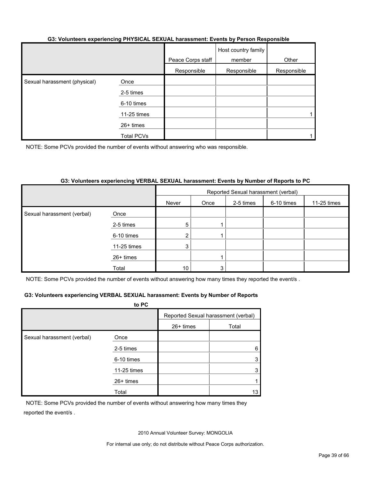#### **G3: Volunteers experiencing PHYSICAL SEXUAL harassment: Events by Person Responsible**

|                              |                   | Peace Corps staff | Host country family<br>member | Other       |
|------------------------------|-------------------|-------------------|-------------------------------|-------------|
|                              |                   | Responsible       | Responsible                   | Responsible |
| Sexual harassment (physical) | Once              |                   |                               |             |
|                              | 2-5 times         |                   |                               |             |
|                              | 6-10 times        |                   |                               |             |
|                              | 11-25 times       |                   |                               |             |
|                              | 26+ times         |                   |                               |             |
|                              | <b>Total PCVs</b> |                   |                               |             |

NOTE: Some PCVs provided the number of events without answering who was responsible.

#### **G3: Volunteers experiencing VERBAL SEXUAL harassment: Events by Number of Reports to PC**

|                            |             | Reported Sexual harassment (verbal) |      |           |            |             |
|----------------------------|-------------|-------------------------------------|------|-----------|------------|-------------|
|                            |             | Never                               | Once | 2-5 times | 6-10 times | 11-25 times |
| Sexual harassment (verbal) | Once        |                                     |      |           |            |             |
|                            | 2-5 times   | 5                                   |      |           |            |             |
|                            | 6-10 times  | 2 <sub>1</sub>                      |      |           |            |             |
|                            | 11-25 times | 3                                   |      |           |            |             |
|                            | 26+ times   |                                     |      |           |            |             |
|                            | Total       | 10                                  | 3    |           |            |             |

NOTE: Some PCVs provided the number of events without answering how many times they reported the event/s.

#### **G3: Volunteers experiencing VERBAL SEXUAL harassment: Events by Number of Reports**

|                            | to PC       |                                     |       |  |
|----------------------------|-------------|-------------------------------------|-------|--|
|                            |             | Reported Sexual harassment (verbal) |       |  |
|                            |             | 26+ times                           | Total |  |
| Sexual harassment (verbal) | Once        |                                     |       |  |
|                            | 2-5 times   |                                     | 6     |  |
|                            | 6-10 times  |                                     |       |  |
|                            | 11-25 times |                                     |       |  |
|                            | 26+ times   |                                     |       |  |
|                            | Total       |                                     | 13    |  |

NOTE: Some PCVs provided the number of events without answering how many times they reported the event/s .

2010 Annual Volunteer Survey: MONGOLIA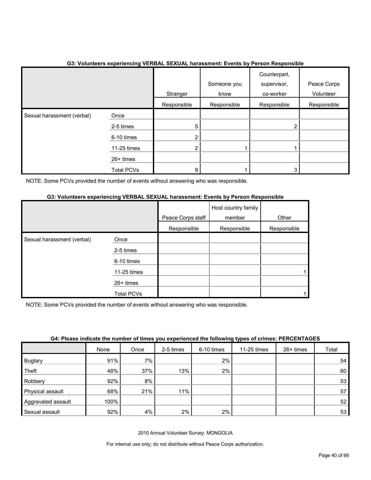|                            |                   | Stranger       | Someone you<br>know | Counterpart,<br>supervisor,<br>co-worker | Peace Corps<br>Volunteer |
|----------------------------|-------------------|----------------|---------------------|------------------------------------------|--------------------------|
|                            |                   | Responsible    | Responsible         | Responsible                              | Responsible              |
| Sexual harassment (verbal) | Once              |                |                     |                                          |                          |
|                            | 2-5 times         | 5              |                     | 2                                        |                          |
|                            | 6-10 times        | $\overline{2}$ |                     |                                          |                          |
|                            | 11-25 times       | $\overline{2}$ |                     |                                          |                          |
|                            | 26+ times         |                |                     |                                          |                          |
|                            | <b>Total PCVs</b> | 9              |                     | 3                                        |                          |

## **G3: Volunteers experiencing VERBAL SEXUAL harassment: Events by Person Responsible**

NOTE: Some PCVs provided the number of events without answering who was responsible.

#### **G3: Volunteers experiencing VERBAL SEXUAL harassment: Events by Person Responsible**

|                            |             | Peace Corps staff | Host country family<br>member | Other       |
|----------------------------|-------------|-------------------|-------------------------------|-------------|
|                            |             | Responsible       | Responsible                   | Responsible |
| Sexual harassment (verbal) | Once        |                   |                               |             |
|                            | 2-5 times   |                   |                               |             |
|                            | 6-10 times  |                   |                               |             |
|                            | 11-25 times |                   |                               |             |
|                            | 26+ times   |                   |                               |             |
|                            | Total PCVs  |                   |                               |             |

NOTE: Some PCVs provided the number of events without answering who was responsible.

| <u>our randomand monumer or mnod fou experienced monuming typed or enmoder methods</u> |      |      |           |              |             |           |       |  |
|----------------------------------------------------------------------------------------|------|------|-----------|--------------|-------------|-----------|-------|--|
|                                                                                        | None | Once | 2-5 times | $6-10$ times | 11-25 times | 26+ times | Total |  |
| <b>Buglary</b>                                                                         | 91%  | 7%   |           | 2%           |             |           | 54    |  |
| Theft                                                                                  | 48%  | 37%  | 13%       | 2%           |             |           | 60    |  |
| Robbery                                                                                | 92%  | 8%   |           |              |             |           | 53    |  |
| Physical assault                                                                       | 68%  | 21%  | 11%       |              |             |           | 57    |  |
| Aggravated assault                                                                     | 100% |      |           |              |             |           | 52    |  |
| Sexual assault                                                                         | 92%  | 4%   | 2%        | 2%           |             |           | 53    |  |

#### **G4: Please indicate the number of times you experienced the following types of crimes: PERCENTAGES**

2010 Annual Volunteer Survey: MONGOLIA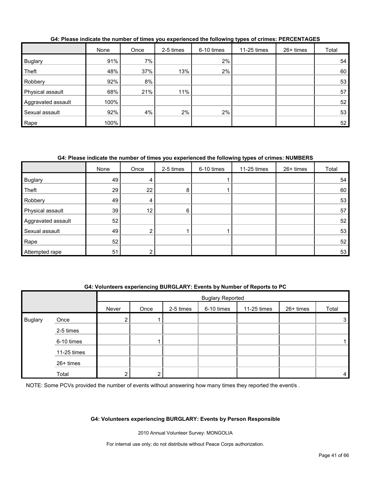|                    | None | Once | 2-5 times | 6-10 times | 11-25 times | 26+ times | Total |
|--------------------|------|------|-----------|------------|-------------|-----------|-------|
| <b>Buglary</b>     | 91%  | 7%   |           | 2%         |             |           | 54    |
| Theft              | 48%  | 37%  | 13%       | 2%         |             |           | 60    |
| Robbery            | 92%  | 8%   |           |            |             |           | 53    |
| Physical assault   | 68%  | 21%  | 11%       |            |             |           | 57    |
| Aggravated assault | 100% |      |           |            |             |           | 52    |
| Sexual assault     | 92%  | 4%   | 2%        | 2%         |             |           | 53    |
| Rape               | 100% |      |           |            |             |           | 52    |

**G4: Please indicate the number of times you experienced the following types of crimes: PERCENTAGES**

## **G4: Please indicate the number of times you experienced the following types of crimes: NUMBERS**

|                    | None | Once            | 2-5 times | 6-10 times | 11-25 times | 26+ times | Total |
|--------------------|------|-----------------|-----------|------------|-------------|-----------|-------|
| <b>Buglary</b>     | 49   | 4               |           |            |             |           | 54    |
| Theft              | 29   | 22              | 8         |            |             |           | 60    |
| Robbery            | 49   | 4               |           |            |             |           | 53    |
| Physical assault   | 39   | 12 <sub>1</sub> | 6         |            |             |           | 57    |
| Aggravated assault | 52   |                 |           |            |             |           | 52    |
| Sexual assault     | 49   | ົ               |           |            |             |           | 53    |
| Rape               | 52   |                 |           |            |             |           | 52    |
| Attempted rape     | 51   |                 |           |            |             |           | 53    |

## **G4: Volunteers experiencing BURGLARY: Events by Number of Reports to PC**

|                |             |               | <b>Buglary Reported</b> |           |            |             |           |                |
|----------------|-------------|---------------|-------------------------|-----------|------------|-------------|-----------|----------------|
|                |             | Never         | Once                    | 2-5 times | 6-10 times | 11-25 times | 26+ times | Total          |
| <b>Buglary</b> | Once        | ົ<br><u>L</u> |                         |           |            |             |           | 3 <sub>1</sub> |
|                | 2-5 times   |               |                         |           |            |             |           |                |
|                | 6-10 times  |               |                         |           |            |             |           |                |
|                | 11-25 times |               |                         |           |            |             |           |                |
|                | 26+ times   |               |                         |           |            |             |           |                |
|                | Total       | ົ             |                         |           |            |             |           | 4              |

NOTE: Some PCVs provided the number of events without answering how many times they reported the event/s.

#### **G4: Volunteers experiencing BURGLARY: Events by Person Responsible**

2010 Annual Volunteer Survey: MONGOLIA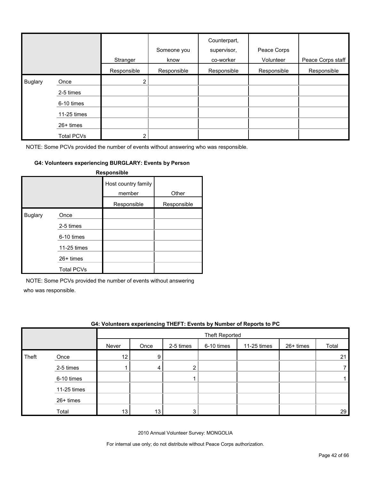|                |                   | Stranger              | Someone you<br>know | Counterpart,<br>supervisor,<br>co-worker | Peace Corps<br>Volunteer | Peace Corps staff |
|----------------|-------------------|-----------------------|---------------------|------------------------------------------|--------------------------|-------------------|
|                |                   | Responsible           | Responsible         | Responsible                              | Responsible              | Responsible       |
| <b>Buglary</b> | Once              | $\mathbf{2}^{\prime}$ |                     |                                          |                          |                   |
|                | 2-5 times         |                       |                     |                                          |                          |                   |
|                | 6-10 times        |                       |                     |                                          |                          |                   |
|                | 11-25 times       |                       |                     |                                          |                          |                   |
|                | $26+$ times       |                       |                     |                                          |                          |                   |
|                | <b>Total PCVs</b> | 2                     |                     |                                          |                          |                   |

### **G4: Volunteers experiencing BURGLARY: Events by Person**

|                |                   | Responsible                   |             |
|----------------|-------------------|-------------------------------|-------------|
|                |                   | Host country family<br>member | Other       |
|                |                   | Responsible                   | Responsible |
| <b>Buglary</b> | Once              |                               |             |
|                | 2-5 times         |                               |             |
|                | 6-10 times        |                               |             |
|                | 11-25 times       |                               |             |
|                | 26+ times         |                               |             |
|                | <b>Total PCVs</b> |                               |             |

NOTE: Some PCVs provided the number of events without answering

who was responsible.

|       | G4: Volunteers experiencing THEFT: Events by Number of Reports to PC |       |      |           |                |             |           |       |
|-------|----------------------------------------------------------------------|-------|------|-----------|----------------|-------------|-----------|-------|
|       |                                                                      |       |      |           | Theft Reported |             |           |       |
|       |                                                                      | Never | Once | 2-5 times | 6-10 times     | 11-25 times | 26+ times | Total |
| Theft | Once                                                                 | 12    | 9    |           |                |             |           | 21    |
|       | 2-5 times                                                            |       |      |           |                |             |           |       |
|       | 6-10 times                                                           |       |      |           |                |             |           |       |
|       | 11-25 times                                                          |       |      |           |                |             |           |       |
|       | $26+$ times                                                          |       |      |           |                |             |           |       |
|       | Total                                                                | 13    | 13   |           |                |             |           | 29    |

2010 Annual Volunteer Survey: MONGOLIA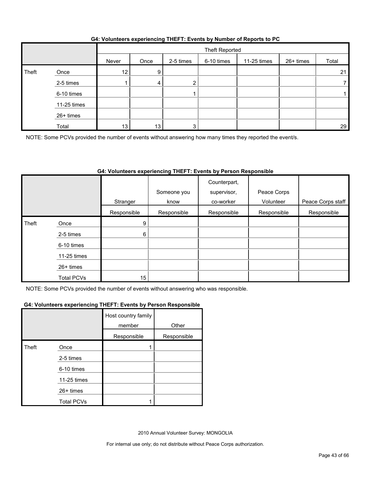|  | G4: Volunteers experiencing THEFT: Events by Number of Reports to PC |
|--|----------------------------------------------------------------------|
|  |                                                                      |

|       |             |       | Theft Reported |           |            |             |           |       |
|-------|-------------|-------|----------------|-----------|------------|-------------|-----------|-------|
|       |             | Never | Once           | 2-5 times | 6-10 times | 11-25 times | 26+ times | Total |
| Theft | Once        | 12    | 9              |           |            |             |           | 21    |
|       | 2-5 times   |       | 4              |           |            |             |           |       |
|       | 6-10 times  |       |                |           |            |             |           |       |
|       | 11-25 times |       |                |           |            |             |           |       |
|       | 26+ times   |       |                |           |            |             |           |       |
|       | Total       | 13    | 13             | ◠         |            |             |           | 29    |

NOTE: Some PCVs provided the number of events without answering how many times they reported the event/s.

## **G4: Volunteers experiencing THEFT: Events by Person Responsible**

|       |                   | Stranger         | Someone you<br>know | Counterpart,<br>supervisor,<br>co-worker | Peace Corps<br>Volunteer | Peace Corps staff |
|-------|-------------------|------------------|---------------------|------------------------------------------|--------------------------|-------------------|
|       |                   |                  |                     |                                          |                          |                   |
|       |                   | Responsible      | Responsible         | Responsible                              | Responsible              | Responsible       |
| Theft | Once              | 9                |                     |                                          |                          |                   |
|       | 2-5 times         | 6                |                     |                                          |                          |                   |
|       | 6-10 times        |                  |                     |                                          |                          |                   |
|       | 11-25 times       |                  |                     |                                          |                          |                   |
|       | $26+$ times       |                  |                     |                                          |                          |                   |
|       | <b>Total PCVs</b> | 15 <sub>15</sub> |                     |                                          |                          |                   |

NOTE: Some PCVs provided the number of events without answering who was responsible.

#### **G4: Volunteers experiencing THEFT: Events by Person Responsible**

|       |                   | Host country family<br>member | Other       |
|-------|-------------------|-------------------------------|-------------|
|       |                   | Responsible                   | Responsible |
| Theft | Once              |                               |             |
|       | 2-5 times         |                               |             |
|       | 6-10 times        |                               |             |
|       | 11-25 times       |                               |             |
|       | 26+ times         |                               |             |
|       | <b>Total PCVs</b> |                               |             |

2010 Annual Volunteer Survey: MONGOLIA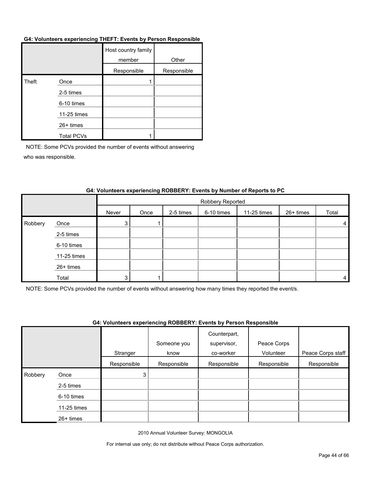#### **G4: Volunteers experiencing THEFT: Events by Person Responsible**

|       |                   | Host country family<br>member | Other       |
|-------|-------------------|-------------------------------|-------------|
|       |                   | Responsible                   | Responsible |
| Theft | Once              |                               |             |
|       | 2-5 times         |                               |             |
|       | 6-10 times        |                               |             |
|       | 11-25 times       |                               |             |
|       | 26+ times         |                               |             |
|       | <b>Total PCVs</b> |                               |             |

NOTE: Some PCVs provided the number of events without answering who was responsible.

|         |             |       | Robbery Reported |           |            |             |           |                |  |
|---------|-------------|-------|------------------|-----------|------------|-------------|-----------|----------------|--|
|         |             | Never | Once             | 2-5 times | 6-10 times | 11-25 times | 26+ times | Total          |  |
| Robbery | Once        | 3     |                  |           |            |             |           | 4              |  |
|         | 2-5 times   |       |                  |           |            |             |           |                |  |
|         | 6-10 times  |       |                  |           |            |             |           |                |  |
|         | 11-25 times |       |                  |           |            |             |           |                |  |
|         | 26+ times   |       |                  |           |            |             |           |                |  |
|         | Total       | 3     |                  |           |            |             |           | $\overline{4}$ |  |

#### **G4: Volunteers experiencing ROBBERY: Events by Number of Reports to PC**

NOTE: Some PCVs provided the number of events without answering how many times they reported the event/s.

#### **G4: Volunteers experiencing ROBBERY: Events by Person Responsible**

|         |             |             | Someone you | Counterpart,<br>supervisor, | Peace Corps |                   |
|---------|-------------|-------------|-------------|-----------------------------|-------------|-------------------|
|         |             | Stranger    | know        | co-worker                   | Volunteer   | Peace Corps staff |
|         |             | Responsible | Responsible | Responsible                 | Responsible | Responsible       |
| Robbery | Once        | 3           |             |                             |             |                   |
|         | 2-5 times   |             |             |                             |             |                   |
|         | 6-10 times  |             |             |                             |             |                   |
|         | 11-25 times |             |             |                             |             |                   |
|         | 26+ times   |             |             |                             |             |                   |

2010 Annual Volunteer Survey: MONGOLIA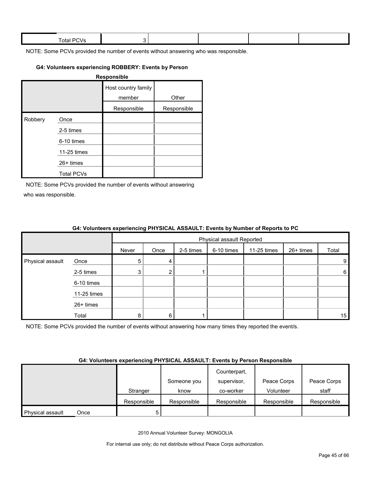| Total.<br>- 11<br>--- |  |  |  |
|-----------------------|--|--|--|
|                       |  |  |  |

#### **G4: Volunteers experiencing ROBBERY: Events by Person**

| <b>Responsible</b> |                   |                               |             |  |  |  |  |
|--------------------|-------------------|-------------------------------|-------------|--|--|--|--|
|                    |                   | Host country family<br>member | Other       |  |  |  |  |
|                    |                   | Responsible                   | Responsible |  |  |  |  |
| Robbery            | Once              |                               |             |  |  |  |  |
|                    | 2-5 times         |                               |             |  |  |  |  |
|                    | 6-10 times        |                               |             |  |  |  |  |
|                    | 11-25 times       |                               |             |  |  |  |  |
|                    | 26+ times         |                               |             |  |  |  |  |
|                    | <b>Total PCVs</b> |                               |             |  |  |  |  |

NOTE: Some PCVs provided the number of events without answering who was responsible.

|                  |             | $\bullet$ . The contract of the contract of the contract $\bullet$ . The contract of the contract of the contract of $\bullet$ |                           |           |            |             |           |       |  |
|------------------|-------------|--------------------------------------------------------------------------------------------------------------------------------|---------------------------|-----------|------------|-------------|-----------|-------|--|
|                  |             |                                                                                                                                | Physical assault Reported |           |            |             |           |       |  |
|                  |             | Never                                                                                                                          | Once                      | 2-5 times | 6-10 times | 11-25 times | 26+ times | Total |  |
| Physical assault | Once        | 5                                                                                                                              | 4                         |           |            |             |           | 9     |  |
|                  | 2-5 times   |                                                                                                                                | $\mathbf{2}^{\circ}$      |           |            |             |           | 6     |  |
|                  | 6-10 times  |                                                                                                                                |                           |           |            |             |           |       |  |
|                  | 11-25 times |                                                                                                                                |                           |           |            |             |           |       |  |
|                  | 26+ times   |                                                                                                                                |                           |           |            |             |           |       |  |
|                  | Total       |                                                                                                                                | 6                         |           |            |             |           | 15    |  |

#### **G4: Volunteers experiencing PHYSICAL ASSAULT: Events by Number of Reports to PC**

NOTE: Some PCVs provided the number of events without answering how many times they reported the event/s.

#### **G4: Volunteers experiencing PHYSICAL ASSAULT: Events by Person Responsible**

|                  |      |             |             | Counterpart, |             |             |
|------------------|------|-------------|-------------|--------------|-------------|-------------|
|                  |      |             | Someone you | supervisor,  | Peace Corps | Peace Corps |
|                  |      | Stranger    | know        | co-worker    | Volunteer   | staff       |
|                  |      | Responsible | Responsible | Responsible  | Responsible | Responsible |
| Physical assault | Once |             |             |              |             |             |

2010 Annual Volunteer Survey: MONGOLIA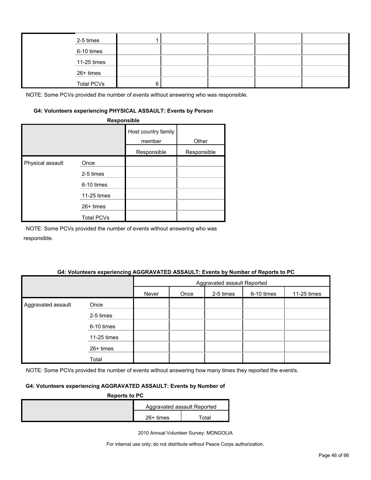| 2-5 times         |  |  |  |
|-------------------|--|--|--|
| 6-10 times        |  |  |  |
| 11-25 times       |  |  |  |
| 26+ times         |  |  |  |
| <b>Total PCVs</b> |  |  |  |

#### **G4: Volunteers experiencing PHYSICAL ASSAULT: Events by Person**

|                  | Responsible       |                               |             |
|------------------|-------------------|-------------------------------|-------------|
|                  |                   | Host country family<br>member | Other       |
|                  |                   | Responsible                   | Responsible |
| Physical assault | Once              |                               |             |
|                  | 2-5 times         |                               |             |
|                  | 6-10 times        |                               |             |
|                  | 11-25 times       |                               |             |
|                  | $26+$ times       |                               |             |
|                  | <b>Total PCVs</b> |                               |             |

NOTE: Some PCVs provided the number of events without answering who was responsible.

#### **G4: Volunteers experiencing AGGRAVATED ASSAULT: Events by Number of Reports to PC**

|                    |             | Aggravated assault Reported |      |           |            |             |
|--------------------|-------------|-----------------------------|------|-----------|------------|-------------|
|                    |             | Never                       | Once | 2-5 times | 6-10 times | 11-25 times |
| Aggravated assault | Once        |                             |      |           |            |             |
|                    | 2-5 times   |                             |      |           |            |             |
|                    | 6-10 times  |                             |      |           |            |             |
|                    | 11-25 times |                             |      |           |            |             |
|                    | 26+ times   |                             |      |           |            |             |
|                    | Total       |                             |      |           |            |             |

NOTE: Some PCVs provided the number of events without answering how many times they reported the event/s.

### **G4: Volunteers experiencing AGGRAVATED ASSAULT: Events by Number of**

| <b>Reports to PC</b> |             |                             |  |  |  |  |
|----------------------|-------------|-----------------------------|--|--|--|--|
|                      |             | Aggravated assault Reported |  |  |  |  |
|                      | $26+$ times | ™otal                       |  |  |  |  |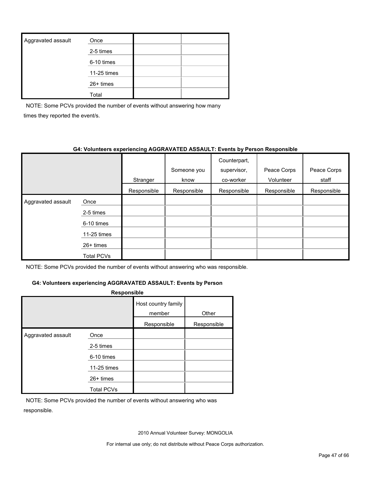| Aggravated assault | Once        |  |
|--------------------|-------------|--|
|                    | 2-5 times   |  |
|                    | 6-10 times  |  |
|                    | 11-25 times |  |
|                    | 26+ times   |  |
|                    | Total       |  |

NOTE: Some PCVs provided the number of events without answering how many times they reported the event/s.

#### **G4: Volunteers experiencing AGGRAVATED ASSAULT: Events by Person Responsible**

|                    |             |             | Someone you | Counterpart,<br>supervisor, | Peace Corps | Peace Corps |
|--------------------|-------------|-------------|-------------|-----------------------------|-------------|-------------|
|                    |             | Stranger    | know        | co-worker                   | Volunteer   | staff       |
|                    |             | Responsible | Responsible | Responsible                 | Responsible | Responsible |
| Aggravated assault | Once        |             |             |                             |             |             |
|                    | 2-5 times   |             |             |                             |             |             |
|                    | 6-10 times  |             |             |                             |             |             |
|                    | 11-25 times |             |             |                             |             |             |
|                    | $26+$ times |             |             |                             |             |             |
|                    | Total PCVs  |             |             |                             |             |             |

NOTE: Some PCVs provided the number of events without answering who was responsible.

### **G4: Volunteers experiencing AGGRAVATED ASSAULT: Events by Person**

| <b>Responsible</b> |                                 |                               |             |  |  |  |  |  |
|--------------------|---------------------------------|-------------------------------|-------------|--|--|--|--|--|
|                    |                                 | Host country family<br>member | Other       |  |  |  |  |  |
|                    |                                 | Responsible                   | Responsible |  |  |  |  |  |
| Aggravated assault | Once<br>2-5 times<br>6-10 times |                               |             |  |  |  |  |  |
|                    | 11-25 times                     |                               |             |  |  |  |  |  |
|                    | $26+$ times                     |                               |             |  |  |  |  |  |
|                    | <b>Total PCVs</b>               |                               |             |  |  |  |  |  |

NOTE: Some PCVs provided the number of events without answering who was responsible.

2010 Annual Volunteer Survey: MONGOLIA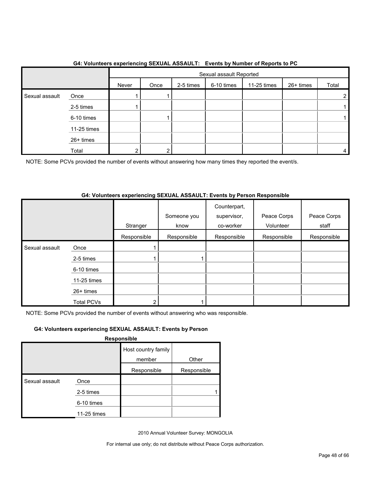|                |             |       | . <b>. .</b><br>Sexual assault Reported |           |            |             |           |       |
|----------------|-------------|-------|-----------------------------------------|-----------|------------|-------------|-----------|-------|
|                |             | Never | Once                                    | 2-5 times | 6-10 times | 11-25 times | 26+ times | Total |
| Sexual assault | Once        |       |                                         |           |            |             |           | ົ     |
|                | 2-5 times   |       |                                         |           |            |             |           |       |
|                | 6-10 times  |       |                                         |           |            |             |           |       |
|                | 11-25 times |       |                                         |           |            |             |           |       |
|                | 26+ times   |       |                                         |           |            |             |           |       |
|                | Total       | ◠     | ົ                                       |           |            |             |           |       |

### **G4: Volunteers experiencing SEXUAL ASSAULT: Events by Number of Reports to PC**

NOTE: Some PCVs provided the number of events without answering how many times they reported the event/s.

### **G4: Volunteers experiencing SEXUAL ASSAULT: Events by Person Responsible**

|                |                   |             | Someone you | Counterpart,<br>supervisor, | Peace Corps | Peace Corps |
|----------------|-------------------|-------------|-------------|-----------------------------|-------------|-------------|
|                |                   | Stranger    | know        | co-worker                   | Volunteer   | staff       |
|                |                   | Responsible | Responsible | Responsible                 | Responsible | Responsible |
| Sexual assault | Once              |             |             |                             |             |             |
|                | 2-5 times         |             |             |                             |             |             |
|                | 6-10 times        |             |             |                             |             |             |
|                | 11-25 times       |             |             |                             |             |             |
|                | 26+ times         |             |             |                             |             |             |
|                | <b>Total PCVs</b> | 2           |             |                             |             |             |

NOTE: Some PCVs provided the number of events without answering who was responsible.

## **G4: Volunteers experiencing SEXUAL ASSAULT: Events by Person**

**Responsible**

|                |             | Host country family |             |
|----------------|-------------|---------------------|-------------|
|                |             | member              | Other       |
|                |             | Responsible         | Responsible |
| Sexual assault | Once        |                     |             |
|                | 2-5 times   |                     |             |
|                | 6-10 times  |                     |             |
|                | 11-25 times |                     |             |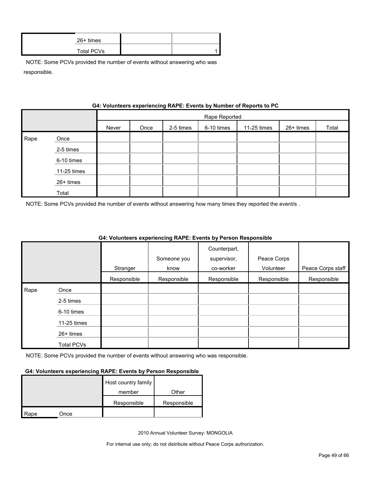| $26+$ times       |  |
|-------------------|--|
| <b>Total PCVs</b> |  |

|      | G4: Volunteers experiencing RAPE: Events by Number of Reports to PC |       |               |           |            |             |           |       |  |  |  |
|------|---------------------------------------------------------------------|-------|---------------|-----------|------------|-------------|-----------|-------|--|--|--|
|      |                                                                     |       | Rape Reported |           |            |             |           |       |  |  |  |
|      |                                                                     | Never | Once          | 2-5 times | 6-10 times | 11-25 times | 26+ times | Total |  |  |  |
| Rape | Once                                                                |       |               |           |            |             |           |       |  |  |  |
|      | 2-5 times                                                           |       |               |           |            |             |           |       |  |  |  |
|      | 6-10 times                                                          |       |               |           |            |             |           |       |  |  |  |
|      | 11-25 times                                                         |       |               |           |            |             |           |       |  |  |  |
|      | 26+ times                                                           |       |               |           |            |             |           |       |  |  |  |
|      | Total                                                               |       |               |           |            |             |           |       |  |  |  |

**G4: Volunteers experiencing RAPE: Events by Number of Reports to PC**

NOTE: Some PCVs provided the number of events without answering how many times they reported the event/s .

|      |                   |             |             | Counterpart, |             |                   |
|------|-------------------|-------------|-------------|--------------|-------------|-------------------|
|      |                   |             | Someone you | supervisor,  | Peace Corps |                   |
|      |                   | Stranger    | know        | co-worker    | Volunteer   | Peace Corps staff |
|      |                   | Responsible | Responsible | Responsible  | Responsible | Responsible       |
| Rape | Once              |             |             |              |             |                   |
|      | 2-5 times         |             |             |              |             |                   |
|      | 6-10 times        |             |             |              |             |                   |
|      | 11-25 times       |             |             |              |             |                   |
|      | $26+$ times       |             |             |              |             |                   |
|      | <b>Total PCVs</b> |             |             |              |             |                   |

## **G4: Volunteers experiencing RAPE: Events by Person Responsible**

NOTE: Some PCVs provided the number of events without answering who was responsible.

#### **G4: Volunteers experiencing RAPE: Events by Person Responsible**

|      |      | Host country family |             |
|------|------|---------------------|-------------|
|      |      | member              | Other       |
|      |      | Responsible         | Responsible |
| Rape | Once |                     |             |

2010 Annual Volunteer Survey: MONGOLIA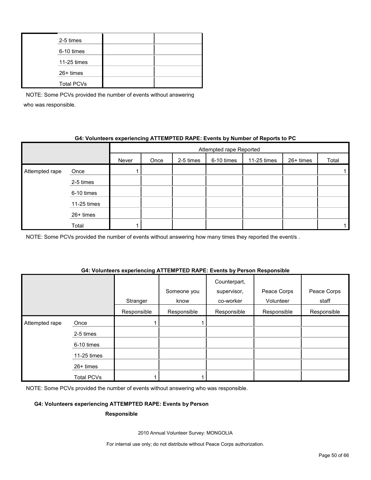| 2-5 times         |  |
|-------------------|--|
| 6-10 times        |  |
| 11-25 times       |  |
| 26+ times         |  |
| <b>Total PCVs</b> |  |

## **G4: Volunteers experiencing ATTEMPTED RAPE: Events by Number of Reports to PC**

|                |             | Attempted rape Reported |      |           |            |             |           |       |
|----------------|-------------|-------------------------|------|-----------|------------|-------------|-----------|-------|
|                |             | Never                   | Once | 2-5 times | 6-10 times | 11-25 times | 26+ times | Total |
| Attempted rape | Once        |                         |      |           |            |             |           |       |
|                | 2-5 times   |                         |      |           |            |             |           |       |
|                | 6-10 times  |                         |      |           |            |             |           |       |
|                | 11-25 times |                         |      |           |            |             |           |       |
|                | 26+ times   |                         |      |           |            |             |           |       |
|                | Total       |                         |      |           |            |             |           |       |

NOTE: Some PCVs provided the number of events without answering how many times they reported the event/s.

#### **G4: Volunteers experiencing ATTEMPTED RAPE: Events by Person Responsible**

|                |                   |             | Someone you | Counterpart,<br>supervisor, | Peace Corps | Peace Corps |
|----------------|-------------------|-------------|-------------|-----------------------------|-------------|-------------|
|                |                   | Stranger    | know        | co-worker                   | Volunteer   | staff       |
|                |                   | Responsible | Responsible | Responsible                 | Responsible | Responsible |
| Attempted rape | Once              |             |             |                             |             |             |
|                | 2-5 times         |             |             |                             |             |             |
|                | 6-10 times        |             |             |                             |             |             |
|                | 11-25 times       |             |             |                             |             |             |
|                | $26+$ times       |             |             |                             |             |             |
|                | <b>Total PCVs</b> |             |             |                             |             |             |

NOTE: Some PCVs provided the number of events without answering who was responsible.

### **G4: Volunteers experiencing ATTEMPTED RAPE: Events by Person**

#### **Responsible**

2010 Annual Volunteer Survey: MONGOLIA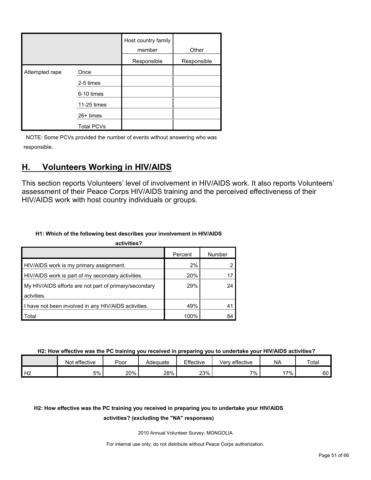|                |                   | Host country family<br>member | Other       |
|----------------|-------------------|-------------------------------|-------------|
|                |                   | Responsible                   | Responsible |
| Attempted rape | Once              |                               |             |
|                | 2-5 times         |                               |             |
|                | 6-10 times        |                               |             |
|                | 11-25 times       |                               |             |
|                | 26+ times         |                               |             |
|                | <b>Total PCVs</b> |                               |             |

## <span id="page-50-0"></span>**H. Volunteers Working in HIV/AIDS**

This section reports Volunteers' level of involvement in HIV/AIDS work. It also reports Volunteers' assessment of their Peace Corps HIV/AIDS training and the perceived effectiveness of their HIV/AIDS work with host country individuals or groups.

## **H1: Which of the following best describes your involvement in HIV/AIDS**

| activities?                                           |         |        |  |  |  |  |  |  |
|-------------------------------------------------------|---------|--------|--|--|--|--|--|--|
|                                                       | Percent | Number |  |  |  |  |  |  |
| HIV/AIDS work is my primary assignment.               | 2%      |        |  |  |  |  |  |  |
| HIV/AIDS work is part of my secondary activities.     | 20%     |        |  |  |  |  |  |  |
| My HIV/AIDS efforts are not part of primary/secondary | 29%     | 24     |  |  |  |  |  |  |
| actvities.                                            |         |        |  |  |  |  |  |  |
| I have not been involved in any HIV/AIDS activities.  | 49%     | 41     |  |  |  |  |  |  |
| Total                                                 | 100%    | 84     |  |  |  |  |  |  |

**H2: How effective was the PC training you received in preparing you to undertake your HIV/AIDS activities?**

|    | Not effective | Poor | Adequate | Effective | Very effective | <b>NA</b>   | Total |
|----|---------------|------|----------|-----------|----------------|-------------|-------|
| Н2 | 5%            | 20%  | 28%      | 23%       | 7%             | $.7\%$<br>. | 60    |

## **H2: How effective was the PC training you received in preparing you to undertake your HIV/AIDS**

#### **activities? (excluding the "NA" responses)**

2010 Annual Volunteer Survey: MONGOLIA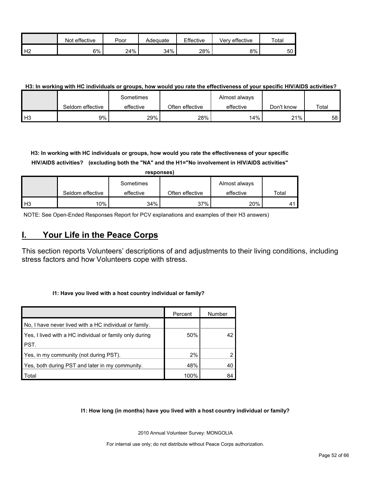|                | effective<br>Not | Poor | Adequate | Effective | Verv effective | Total |
|----------------|------------------|------|----------|-----------|----------------|-------|
| H <sub>2</sub> | 6%               | 24%  | 34%      | 28%       | 8%             | 50    |

### **H3: In working with HC individuals or groups, how would you rate the effectiveness of your specific HIV/AIDS activities?**

|      |                  | Sometimes |                 | Almost always |            |       |
|------|------------------|-----------|-----------------|---------------|------------|-------|
|      | Seldom effective | effective | Often effective | effective     | Don't know | Total |
| l H3 | 9%               | 29%       | 28%             | 14%           | 21%        | 58 I  |

**H3: In working with HC individuals or groups, how would you rate the effectiveness of your specific HIV/AIDS activities? (excluding both the "NA" and the H1="No involvement in HIV/AIDS activities"** 

|                | responses)       |           |                 |               |                       |  |  |  |  |  |  |
|----------------|------------------|-----------|-----------------|---------------|-----------------------|--|--|--|--|--|--|
|                |                  | Sometimes |                 | Almost always |                       |  |  |  |  |  |  |
|                | Seldom effective | effective | Often effective | effective     | Total                 |  |  |  |  |  |  |
| H <sub>3</sub> | 10%              | 34%       | 37%             | 20%           | $\mathbf{4}^{\prime}$ |  |  |  |  |  |  |

NOTE: See Open-Ended Responses Report for PCV explanations and examples of their H3 answers)

## <span id="page-51-0"></span>**I. Your Life in the Peace Corps**

This section reports Volunteers' descriptions of and adjustments to their living conditions, including stress factors and how Volunteers cope with stress.

#### **I1: Have you lived with a host country individual or family?**

|                                                         | Percent | Number |
|---------------------------------------------------------|---------|--------|
| No, I have never lived with a HC individual or family.  |         |        |
| Yes, I lived with a HC individual or family only during | 50%     | 42     |
| PST.                                                    |         |        |
| Yes, in my community (not during PST).                  | 2%      |        |
| Yes, both during PST and later in my community.         | 48%     | 40     |
| Total                                                   | 100%    | 84     |

#### **I1: How long (in months) have you lived with a host country individual or family?**

2010 Annual Volunteer Survey: MONGOLIA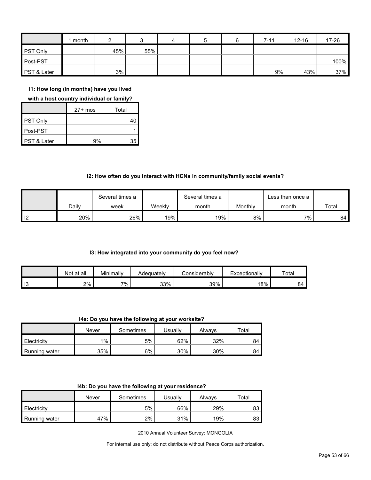|                 | month |     |     | 4 | 5 | $7 - 11$ | $12 - 16$ | 17-26 |
|-----------------|-------|-----|-----|---|---|----------|-----------|-------|
| <b>PST Only</b> |       | 45% | 55% |   |   |          |           |       |
| Post-PST        |       |     |     |   |   |          |           | 100%  |
| PST & Later     |       | 3%  |     |   |   | 9%       | 43%       | 37%   |

**I1: How long (in months) have you lived** 

#### **with a host country individual or family?**

|                 | $27+$ mos | Total |
|-----------------|-----------|-------|
| <b>PST Only</b> |           |       |
| Post-PST        |           |       |
| PST & Later     | ۹%        |       |

### **I2: How often do you interact with HCNs in community/family social events?**

|    |       | Several times a |        | Several times a |         | Less than once a |       |
|----|-------|-----------------|--------|-----------------|---------|------------------|-------|
|    | Dailv | week            | Weeklv | month           | Monthly | month            | Total |
| 12 | 20%   | 26%             | 19%    | 19%             | 8%      | 7%               | 84    |

#### **I3: How integrated into your community do you feel now?**

|      | Not at all | Minimally | Adequatelv | Considerabl∨ | Exceptionally | Total |
|------|------------|-----------|------------|--------------|---------------|-------|
| 1 I3 | 2%         | $7\%$ .   | 33%        | 39%          | 18%           | RΔ    |

**I4a: Do you have the following at your worksite?**

|               | Never | Sometimes | <b>Jsually</b> | Alwavs | Total |
|---------------|-------|-----------|----------------|--------|-------|
| Electricity   | $1\%$ | 5%        | 62%            | 32%    | 84    |
| Running water | 35%   | 6%        | 30%            | 30%    | 84    |

|  |  | 14b: Do you have the following at your residence? |
|--|--|---------------------------------------------------|
|--|--|---------------------------------------------------|

|               | Never | Sometimes | Usuallv | Always | ⊤otal |
|---------------|-------|-----------|---------|--------|-------|
| Electricity   |       | 5%        | 66%     | 29%    | 83    |
| Running water | 47%   | 2%        | 31%     | 19%    | 83    |

2010 Annual Volunteer Survey: MONGOLIA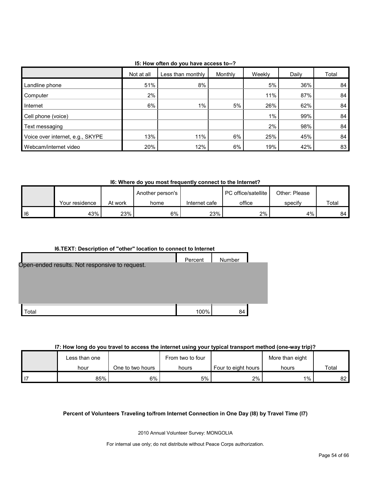| 15: How often do you have access to--? |  |
|----------------------------------------|--|
|----------------------------------------|--|

|                                  | Not at all | Less than monthly | Monthly | Weekly | Daily | Total |
|----------------------------------|------------|-------------------|---------|--------|-------|-------|
| Landline phone                   | 51%        | 8%                |         | 5%     | 36%   | 84    |
| Computer                         | 2%         |                   |         | 11%    | 87%   | 84    |
| Internet                         | 6%         | 1%                | 5%      | 26%    | 62%   | 84    |
| Cell phone (voice)               |            |                   |         | $1\%$  | 99%   | 84    |
| Text messaging                   |            |                   |         | 2%     | 98%   | 84    |
| Voice over internet, e.g., SKYPE | 13%        | 11%               | 6%      | 25%    | 45%   | 84    |
| Webcam/internet video            | 20%        | 12%               | 6%      | 19%    | 42%   | 83    |

**I6: Where do you most frequently connect to the Internet?**

|      |                |         | Another person's |               | <b>PC</b> office/satellite | Other: Please |       |
|------|----------------|---------|------------------|---------------|----------------------------|---------------|-------|
|      | Your residence | At work | home             | Internet cafe | office                     | specify       | Total |
| l 16 | 43%            | 23%     | 6%               | 23%           | 2%                         | 4%            | 84    |

## **I6.TEXT: Description of "other" location to connect to Internet**

| Open-ended results. Not responsive to request. | Percent | Number |  |
|------------------------------------------------|---------|--------|--|
| otal.                                          | 100%    | 84     |  |

## **I7: How long do you travel to access the internet using your typical transport method (one-way trip)?**

| Less than one |                  | From two to four |                     | More than eight |       |
|---------------|------------------|------------------|---------------------|-----------------|-------|
| hour          | One to two hours | hours            | Four to eight hours | hours           | Total |
| 85%           | 6%               | 5%               | $2\%$               | $1\%$ ,         | 82    |

## **Percent of Volunteers Traveling to/from Internet Connection in One Day (I8) by Travel Time (I7)**

2010 Annual Volunteer Survey: MONGOLIA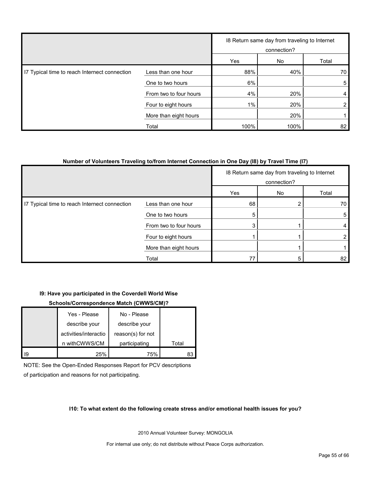|                                               |                        |       | 18 Return same day from traveling to Internet<br>connection? |       |
|-----------------------------------------------|------------------------|-------|--------------------------------------------------------------|-------|
|                                               |                        | Yes   | No                                                           | Total |
| I7 Typical time to reach Internect connection | Less than one hour     | 88%   | 40%                                                          | 70    |
|                                               | One to two hours       | 6%    |                                                              | 5     |
|                                               | From two to four hours | 4%    | 20%                                                          | 4     |
|                                               | Four to eight hours    | $1\%$ | 20%                                                          | 2     |
|                                               | More than eight hours  |       | 20%                                                          |       |
|                                               | Total                  | 100%  | 100%                                                         | 82    |

#### **Number of Volunteers Traveling to/from Internet Connection in One Day (I8) by Travel Time (I7)**

|                                               |                        |     | 18 Return same day from traveling to Internet<br>connection? |       |
|-----------------------------------------------|------------------------|-----|--------------------------------------------------------------|-------|
|                                               |                        | Yes | No                                                           | Total |
| I7 Typical time to reach Internect connection | Less than one hour     | 68  |                                                              | 70    |
|                                               | One to two hours       | 5   |                                                              | 5     |
|                                               | From two to four hours |     |                                                              |       |
|                                               | Four to eight hours    |     |                                                              |       |
|                                               | More than eight hours  |     |                                                              |       |
|                                               | Total                  | 77  |                                                              | 82    |

#### **I9: Have you participated in the Coverdell World Wise**

#### **Schools/Correspondence Match (CWWS/CM)?**

|    | Yes - Please          | No - Please       |       |
|----|-----------------------|-------------------|-------|
|    | describe your         | describe your     |       |
|    | activities/interactio | reason(s) for not |       |
|    | n withCWWS/CM         | participating     | Total |
| 19 | 25%                   | 75%               | 83    |

NOTE: See the Open-Ended Responses Report for PCV descriptions of participation and reasons for not participating.

#### **I10: To what extent do the following create stress and/or emotional health issues for you?**

2010 Annual Volunteer Survey: MONGOLIA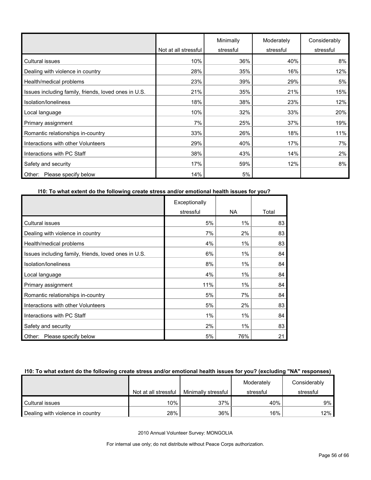|                                                      | Not at all stressful | Minimally<br>stressful | Moderately<br>stressful | Considerably<br>stressful |
|------------------------------------------------------|----------------------|------------------------|-------------------------|---------------------------|
| <b>Cultural issues</b>                               | 10%                  | 36%                    | 40%                     | 8%                        |
| Dealing with violence in country                     | 28%                  | 35%                    | 16%                     | 12%                       |
| Health/medical problems                              | 23%                  | 39%                    | 29%                     | 5%                        |
| Issues including family, friends, loved ones in U.S. | 21%                  | 35%                    | 21%                     | 15%                       |
| Isolation/Ioneliness                                 | 18%                  | 38%                    | 23%                     | 12%                       |
| Local language                                       | 10%                  | 32%                    | 33%                     | 20%                       |
| Primary assignment                                   | 7%                   | 25%                    | 37%                     | 19%                       |
| Romantic relationships in-country                    | 33%                  | 26%                    | 18%                     | 11%                       |
| Interactions with other Volunteers                   | 29%                  | 40%                    | 17%                     | 7%                        |
| Interactions with PC Staff                           | 38%                  | 43%                    | 14%                     | 2%                        |
| Safety and security                                  | 17%                  | 59%                    | 12%                     | 8%                        |
| Please specify below<br>Other:                       | 14%                  | 5%                     |                         |                           |

### **I10: To what extent do the following create stress and/or emotional health issues for you?**

|                                                      | Exceptionally |           |       |
|------------------------------------------------------|---------------|-----------|-------|
|                                                      | stressful     | <b>NA</b> | Total |
| Cultural issues                                      | 5%            | $1\%$     | 83    |
| Dealing with violence in country                     | 7%            | 2%        | 83    |
| Health/medical problems                              | 4%            | $1\%$     | 83    |
| Issues including family, friends, loved ones in U.S. | 6%            | $1\%$     | 84    |
| Isolation/loneliness                                 | 8%            | 1%        | 84    |
| Local language                                       | 4%            | $1\%$     | 84    |
| Primary assignment                                   | 11%           | $1\%$     | 84    |
| Romantic relationships in-country                    | 5%            | 7%        | 84    |
| Interactions with other Volunteers                   | 5%            | 2%        | 83    |
| Interactions with PC Staff                           | 1%            | $1\%$     | 84    |
| Safety and security                                  | 2%            | 1%        | 83    |
| Please specify below<br>Other:                       | 5%            | 76%       | 21    |

#### **I10: To what extent do the following create stress and/or emotional health issues for you? (excluding "NA" responses)**

|                                  |                      |                     | Moderately | Considerably |
|----------------------------------|----------------------|---------------------|------------|--------------|
|                                  | Not at all stressful | Minimally stressful | stressful  | stressful    |
| Cultural issues                  | 10%                  | 37%                 | 40%        | 9%           |
| Dealing with violence in country | 28%                  | 36%                 | 16%        | $12\%$       |

2010 Annual Volunteer Survey: MONGOLIA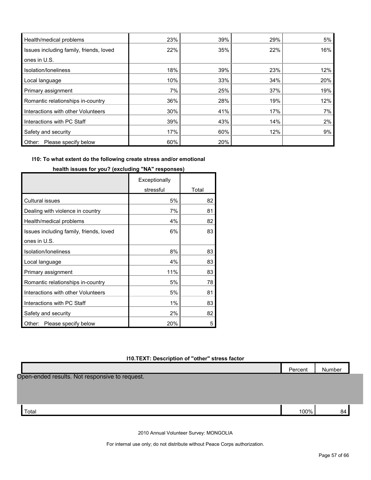| Health/medical problems                 | 23% | 39% | 29% | 5%  |
|-----------------------------------------|-----|-----|-----|-----|
| Issues including family, friends, loved | 22% | 35% | 22% | 16% |
| ones in U.S.                            |     |     |     |     |
| Isolation/Ioneliness                    | 18% | 39% | 23% | 12% |
| Local language                          | 10% | 33% | 34% | 20% |
| Primary assignment                      | 7%  | 25% | 37% | 19% |
| Romantic relationships in-country       | 36% | 28% | 19% | 12% |
| Interactions with other Volunteers      | 30% | 41% | 17% | 7%  |
| Interactions with PC Staff              | 39% | 43% | 14% | 2%  |
| Safety and security                     | 17% | 60% | 12% | 9%  |
| Please specify below<br>Other:          | 60% | 20% |     |     |

## **I10: To what extent do the following create stress and/or emotional**

|                                         | Exceptionally |       |
|-----------------------------------------|---------------|-------|
|                                         | stressful     | Total |
| <b>Cultural issues</b>                  | 5%            | 82    |
| Dealing with violence in country        | 7%            | 81    |
| Health/medical problems                 | 4%            | 82    |
| Issues including family, friends, loved | 6%            | 83    |
| ones in U.S.                            |               |       |
| Isolation/loneliness                    | 8%            | 83    |
| Local language                          | 4%            | 83    |
| Primary assignment                      | 11%           | 83    |
| Romantic relationships in-country       | 5%            | 78    |
| Interactions with other Volunteers      | 5%            | 81    |
| Interactions with PC Staff              | 1%            | 83    |
| Safety and security                     | 2%            | 82    |
| Please specify below<br>Other:          | 20%           | 5     |

**health issues for you? (excluding "NA" responses)**

### **I10.TEXT: Description of "other" stress factor**

| Percent                                        | Number |
|------------------------------------------------|--------|
| Open-ended results. Not responsive to request. |        |
|                                                |        |
|                                                |        |
|                                                |        |
| 100%<br>Total                                  | 84     |
|                                                |        |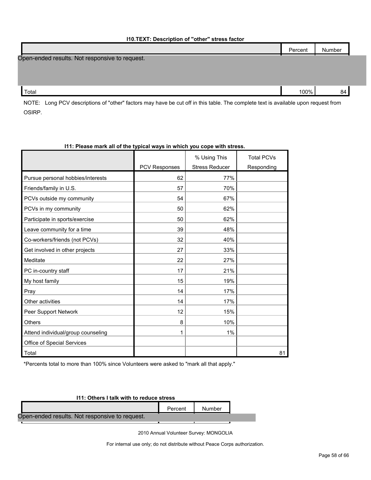| .                                              |         |        |
|------------------------------------------------|---------|--------|
|                                                | Percent | Number |
| Open-ended results. Not responsive to request. |         |        |
|                                                |         |        |
|                                                |         |        |
| Total                                          | 100%    | 84     |

NOTE: Long PCV descriptions of "other" factors may have be cut off in this table. The complete text is available upon request from OSIRP.

| TEL. Please mark all of the typical ways in which you cope with stress. |                      |                       |                   |  |  |  |
|-------------------------------------------------------------------------|----------------------|-----------------------|-------------------|--|--|--|
|                                                                         |                      | % Using This          | <b>Total PCVs</b> |  |  |  |
|                                                                         | <b>PCV Responses</b> | <b>Stress Reducer</b> | Responding        |  |  |  |
| Pursue personal hobbies/interests                                       | 62                   | 77%                   |                   |  |  |  |
| Friends/family in U.S.                                                  | 57                   | 70%                   |                   |  |  |  |
| PCVs outside my community                                               | 54                   | 67%                   |                   |  |  |  |
| PCVs in my community                                                    | 50                   | 62%                   |                   |  |  |  |
| Participate in sports/exercise                                          | 50                   | 62%                   |                   |  |  |  |
| Leave community for a time                                              | 39                   | 48%                   |                   |  |  |  |
| Co-workers/friends (not PCVs)                                           | 32                   | 40%                   |                   |  |  |  |
| Get involved in other projects                                          | 27                   | 33%                   |                   |  |  |  |
| Meditate                                                                | 22                   | 27%                   |                   |  |  |  |
| PC in-country staff                                                     | 17                   | 21%                   |                   |  |  |  |
| My host family                                                          | 15                   | 19%                   |                   |  |  |  |
| Pray                                                                    | 14                   | 17%                   |                   |  |  |  |
| Other activities                                                        | 14                   | 17%                   |                   |  |  |  |
| Peer Support Network                                                    | 12                   | 15%                   |                   |  |  |  |
| <b>Others</b>                                                           | 8                    | 10%                   |                   |  |  |  |
| Attend individual/group counseling                                      | 1                    | 1%                    |                   |  |  |  |
| Office of Special Services                                              |                      |                       |                   |  |  |  |
| Total                                                                   |                      |                       | 81                |  |  |  |

## **I11: Please mark all of the typical ways in which you cope with stress.**

\*Percents total to more than 100% since Volunteers were asked to "mark all that apply."

| 111: Others I talk with to reduce stress       |         |        |  |  |  |
|------------------------------------------------|---------|--------|--|--|--|
|                                                | Percent | Number |  |  |  |
| Open-ended results. Not responsive to request. |         |        |  |  |  |
|                                                |         |        |  |  |  |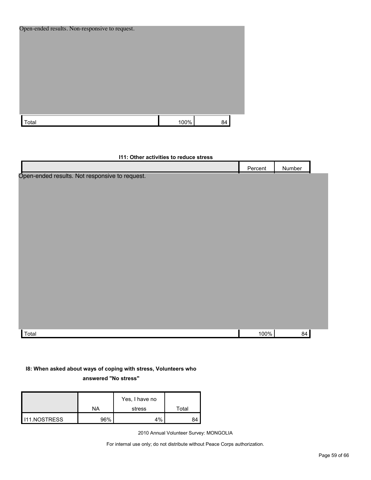| Open-ended results. Non-responsive to request. |      |    |  |
|------------------------------------------------|------|----|--|
| Total                                          | 100% | 84 |  |

### **I11: Other activities to reduce stress**

|                                                | Percent | Number |  |
|------------------------------------------------|---------|--------|--|
| Open-ended results. Not responsive to request. |         |        |  |
|                                                |         |        |  |
|                                                |         |        |  |
|                                                |         |        |  |
|                                                |         |        |  |
|                                                |         |        |  |
|                                                |         |        |  |
|                                                |         |        |  |
|                                                |         |        |  |
|                                                |         |        |  |
|                                                |         |        |  |
|                                                |         |        |  |
|                                                |         |        |  |
|                                                |         |        |  |
|                                                |         |        |  |
|                                                |         |        |  |
| Total                                          | 100%    | 84     |  |

### **I8: When asked about ways of coping with stress, Volunteers who**

**answered "No stress"** 

|                       |     | Yes, I have no |       |
|-----------------------|-----|----------------|-------|
|                       | NA  | stress         | Total |
| <b>I</b> I11.NOSTRESS | 96% | 4%             | 84    |

2010 Annual Volunteer Survey: MONGOLIA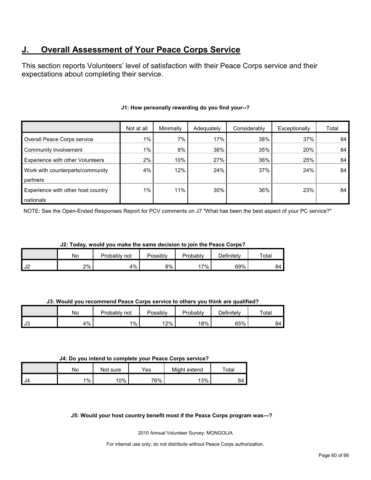## <span id="page-59-0"></span>**J. Overall Assessment of Your Peace Corps Service**

This section reports Volunteers' level of satisfaction with their Peace Corps service and their expectations about completing their service.

|                                         | Not at all | Minimally | Adequately | Considerably | Exceptionally | Total |
|-----------------------------------------|------------|-----------|------------|--------------|---------------|-------|
| Overall Peace Corps service             | 1%         | 7%        | 17%        | 38%          | 37%           | 84    |
| Community involvement                   | $1\%$      | 8%        | 36%        | 35%          | 20%           | 84    |
| <b>Experience with other Volunteers</b> | $2\%$      | 10%       | 27%        | 36%          | 25%           | 84    |
| Work with counterparts/community        | 4%         | 12%       | 24%        | 37%          | 24%           | 84    |
| partners                                |            |           |            |              |               |       |
| Experience with other host country      | $1\%$      | 11%       | 30%        | 36%          | 23%           | 84    |
| nationals                               |            |           |            |              |               |       |

## **J1: How personally rewarding do you find your--?**

NOTE: See the Open-Ended Responses Report for PCV comments on J7 "What has been the best aspect of your PC service?"

**J2: Today, would you make the same decision to join the Peace Corps?**

|      | No | Probably<br>not | Possibly | Probablv | $\mathcal P$ efinitelv | Total |
|------|----|-----------------|----------|----------|------------------------|-------|
| I J2 | 2% | 4%              | 8%       | $7\%$    | 69%                    | ۹۵    |

**J3: Would you recommend Peace Corps service to others you think are qualified?**

|           | No       | Probably<br>not | Possibly | Probably | Definitely | Total |
|-----------|----------|-----------------|----------|----------|------------|-------|
| <b>J3</b> | 1%<br>⊶. | $1\%$           | 12%      | 18%      | 65%        | 84    |

#### **J4: Do you intend to complete your Peace Corps service?**

|       | No | Not sure | $\mathsf{v}_{\mathsf{es}}$ | Might extend | Total |
|-------|----|----------|----------------------------|--------------|-------|
| II J4 | 1% | 10%      | 76%                        | 13%          | 84    |

#### **J5: Would your host country benefit most if the Peace Corps program was---?**

2010 Annual Volunteer Survey: MONGOLIA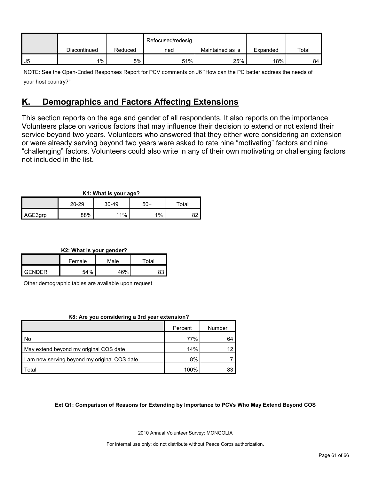|    |              |         | Refocused/redesig |                  |          |       |
|----|--------------|---------|-------------------|------------------|----------|-------|
|    | Discontinued | Reduced | ned               | Maintained as is | Expanded | Total |
| J5 | $1\%$        | 5%      | 51%               | 25%              | 18%      | 84    |

NOTE: See the Open-Ended Responses Report for PCV comments on J6 "How can the PC better address the needs of your host country?"

## <span id="page-60-0"></span>**K. Demographics and Factors Affecting Extensions**

This section reports on the age and gender of all respondents. It also reports on the importance Volunteers place on various factors that may influence their decision to extend or not extend their service beyond two years. Volunteers who answered that they either were considering an extension or were already serving beyond two years were asked to rate nine "motivating" factors and nine "challenging" factors. Volunteers could also write in any of their own motivating or challenging factors not included in the list.

| K1: What is your age? |       |         |     |       |  |  |  |
|-----------------------|-------|---------|-----|-------|--|--|--|
|                       | 20-29 | $30-49$ | 50+ | Total |  |  |  |
| AGE3grp               | 88%   | 11%     | 1%  |       |  |  |  |

**K2: What is your gender?**

|        | Female | Male | $\tau$ otal |  |
|--------|--------|------|-------------|--|
| GENDER | 54%    | 16%  |             |  |

Other demographic tables are available upon request

#### **K8: Are you considering a 3rd year extension?**

|                                              | Percent | Number |
|----------------------------------------------|---------|--------|
| I No                                         | 77%     | 64     |
| May extend beyond my original COS date       | 14%     | 12     |
| I am now serving beyond my original COS date | 8%      |        |
| Total                                        | 100%    | 83     |

#### **Ext Q1: Comparison of Reasons for Extending by Importance to PCVs Who May Extend Beyond COS**

2010 Annual Volunteer Survey: MONGOLIA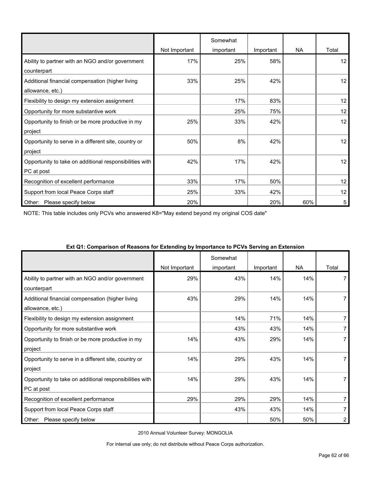|                                                         |               | Somewhat  |           |           |       |
|---------------------------------------------------------|---------------|-----------|-----------|-----------|-------|
|                                                         | Not Important | important | Important | <b>NA</b> | Total |
| Ability to partner with an NGO and/or government        | 17%           | 25%       | 58%       |           | 12    |
| counterpart                                             |               |           |           |           |       |
| Additional financial compensation (higher living        | 33%           | 25%       | 42%       |           | 12    |
| allowance, etc.)                                        |               |           |           |           |       |
| Flexibility to design my extension assignment           |               | 17%       | 83%       |           | 12    |
| Opportunity for more substantive work                   |               | 25%       | 75%       |           | 12    |
| Opportunity to finish or be more productive in my       | 25%           | 33%       | 42%       |           | 12    |
| project                                                 |               |           |           |           |       |
| Opportunity to serve in a different site, country or    | 50%           | 8%        | 42%       |           | 12    |
| project                                                 |               |           |           |           |       |
| Opportunity to take on additional responsibilities with | 42%           | 17%       | 42%       |           | 12    |
| PC at post                                              |               |           |           |           |       |
| Recognition of excellent performance                    | 33%           | 17%       | 50%       |           | 12    |
| Support from local Peace Corps staff                    | 25%           | 33%       | 42%       |           | 12    |
| Other:<br>Please specify below                          | 20%           |           | 20%       | 60%       | 5     |

NOTE: This table includes only PCVs who answered K8="May extend beyond my original COS date"

| $\alpha$ , which is a computation of the construction of the computation of the contrary will construct the construction of the construction of the construction of the construction of the construction of the construction of th | Not Important | Somewhat<br>important | Important | <b>NA</b> | Total |
|------------------------------------------------------------------------------------------------------------------------------------------------------------------------------------------------------------------------------------|---------------|-----------------------|-----------|-----------|-------|
| Ability to partner with an NGO and/or government<br>counterpart                                                                                                                                                                    | 29%           | 43%                   | 14%       | 14%       |       |
| Additional financial compensation (higher living<br>allowance, etc.)                                                                                                                                                               | 43%           | 29%                   | 14%       | 14%       |       |
| Flexibility to design my extension assignment                                                                                                                                                                                      |               | 14%                   | 71%       | 14%       | 7     |
| Opportunity for more substantive work                                                                                                                                                                                              |               | 43%                   | 43%       | 14%       |       |
| Opportunity to finish or be more productive in my<br>project                                                                                                                                                                       | 14%           | 43%                   | 29%       | 14%       |       |
| Opportunity to serve in a different site, country or<br>project                                                                                                                                                                    | 14%           | 29%                   | 43%       | 14%       |       |
| Opportunity to take on additional responsibilities with<br>PC at post                                                                                                                                                              | 14%           | 29%                   | 43%       | 14%       | 7     |
| Recognition of excellent performance                                                                                                                                                                                               | 29%           | 29%                   | 29%       | 14%       | 7     |
| Support from local Peace Corps staff                                                                                                                                                                                               |               | 43%                   | 43%       | 14%       | 7     |
| Please specify below<br>Other:                                                                                                                                                                                                     |               |                       | 50%       | 50%       | 2     |

#### **Ext Q1: Comparison of Reasons for Extending by Importance to PCVs Serving an Extension**

2010 Annual Volunteer Survey: MONGOLIA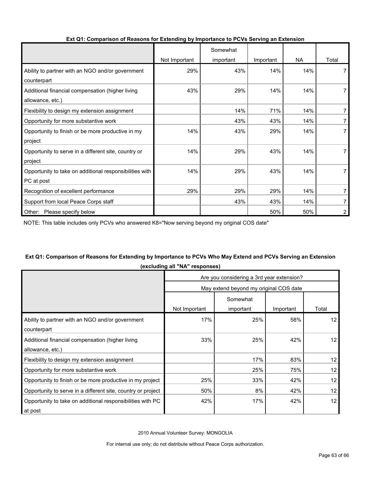|                                                         |               | Somewhat  |           |           |                |
|---------------------------------------------------------|---------------|-----------|-----------|-----------|----------------|
|                                                         | Not Important | important | Important | <b>NA</b> | Total          |
| Ability to partner with an NGO and/or government        | 29%           | 43%       | 14%       | 14%       |                |
| counterpart                                             |               |           |           |           |                |
| Additional financial compensation (higher living        | 43%           | 29%       | 14%       | 14%       |                |
| allowance, etc.)                                        |               |           |           |           |                |
| Flexibility to design my extension assignment           |               | 14%       | 71%       | 14%       |                |
| Opportunity for more substantive work                   |               | 43%       | 43%       | 14%       | 7              |
| Opportunity to finish or be more productive in my       | 14%           | 43%       | 29%       | 14%       |                |
| project                                                 |               |           |           |           |                |
| Opportunity to serve in a different site, country or    | 14%           | 29%       | 43%       | 14%       |                |
| project                                                 |               |           |           |           |                |
| Opportunity to take on additional responsibilities with | 14%           | 29%       | 43%       | 14%       |                |
| PC at post                                              |               |           |           |           |                |
| Recognition of excellent performance                    | 29%           | 29%       | 29%       | 14%       | 7              |
| Support from local Peace Corps staff                    |               | 43%       | 43%       | 14%       |                |
| Other:<br>Please specify below                          |               |           | 50%       | 50%       | $\overline{2}$ |

#### **Ext Q1: Comparison of Reasons for Extending by Importance to PCVs Serving an Extension**

NOTE: This table includes only PCVs who answered K8="Now serving beyond my original COS date"

## **Ext Q1: Comparison of Reasons for Extending by Importance to PCVs Who May Extend and PCVs Serving an Extension (excluding all "NA" responses)**

|                                                              | Are you considering a 3rd year extension? |           |           |       |  |  |
|--------------------------------------------------------------|-------------------------------------------|-----------|-----------|-------|--|--|
|                                                              | May extend beyond my original COS date    |           |           |       |  |  |
|                                                              |                                           | Somewhat  |           |       |  |  |
|                                                              | Not Important                             | important | Important | Total |  |  |
| Ability to partner with an NGO and/or government             | 17%                                       | 25%       | 58%       | 12    |  |  |
| counterpart                                                  |                                           |           |           |       |  |  |
| Additional financial compensation (higher living             | 33%                                       | 25%       | 42%       | 12    |  |  |
| allowance, etc.)                                             |                                           |           |           |       |  |  |
| Flexibility to design my extension assignment                |                                           | 17%       | 83%       | 12    |  |  |
| Opportunity for more substantive work                        |                                           | 25%       | 75%       | 12    |  |  |
| Opportunity to finish or be more productive in my project    | 25%                                       | 33%       | 42%       | 12    |  |  |
| Opportunity to serve in a different site, country or project | 50%                                       | 8%        | 42%       | 12    |  |  |
| Opportunity to take on additional responsibilities with PC   | 42%                                       | 17%       | 42%       | 12    |  |  |
| at post                                                      |                                           |           |           |       |  |  |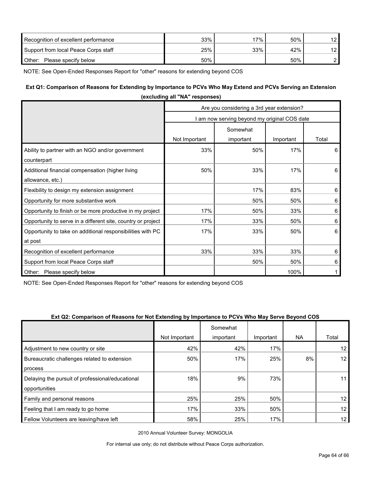| Recognition of excellent performance | 33% | '7% | 50% | 12 |
|--------------------------------------|-----|-----|-----|----|
| Support from local Peace Corps staff | 25% | 33% | 42% | 12 |
| Other:<br>Please specify below       | 50% |     | 50% |    |

NOTE: See Open-Ended Responses Report for "other" reasons for extending beyond COS

### **Ext Q1: Comparison of Reasons for Extending by Importance to PCVs Who May Extend and PCVs Serving an Extension**

|                                                              | (excluding all "NA" responses)               |           |           |         |  |  |
|--------------------------------------------------------------|----------------------------------------------|-----------|-----------|---------|--|--|
|                                                              | Are you considering a 3rd year extension?    |           |           |         |  |  |
|                                                              | I am now serving beyond my original COS date |           |           |         |  |  |
|                                                              | Somewhat                                     |           |           |         |  |  |
|                                                              | Not Important                                | important | Important | Total   |  |  |
| Ability to partner with an NGO and/or government             | 33%                                          | 50%       | 17%       | 6       |  |  |
| counterpart                                                  |                                              |           |           |         |  |  |
| Additional financial compensation (higher living             | 50%                                          | 33%       | 17%       | 6       |  |  |
| allowance, etc.)                                             |                                              |           |           |         |  |  |
| Flexibility to design my extension assignment                |                                              | 17%       | 83%       | 6       |  |  |
| Opportunity for more substantive work                        |                                              | 50%       | 50%       | 6       |  |  |
| Opportunity to finish or be more productive in my project    | 17%                                          | 50%       | 33%       | 6       |  |  |
| Opportunity to serve in a different site, country or project | 17%                                          | 33%       | 50%       | 6       |  |  |
| Opportunity to take on additional responsibilities with PC   | 17%                                          | 33%       | 50%       | 6       |  |  |
| at post                                                      |                                              |           |           |         |  |  |
| Recognition of excellent performance                         | 33%                                          | 33%       | 33%       | $\,6\,$ |  |  |
| Support from local Peace Corps staff                         |                                              | 50%       | 50%       | 6       |  |  |
| Other:<br>Please specify below                               |                                              |           | 100%      |         |  |  |

NOTE: See Open-Ended Responses Report for "other" reasons for extending beyond COS

#### **Ext Q2: Comparison of Reasons for Not Extending by Importance to PCVs Who May Serve Beyond COS**

|                                                  |               | Somewhat  |           |           |                 |
|--------------------------------------------------|---------------|-----------|-----------|-----------|-----------------|
|                                                  | Not Important | important | Important | <b>NA</b> | Total           |
| Adjustment to new country or site                | 42%           | 42%       | 17%       |           | 12 <sup>°</sup> |
| Bureaucratic challenges related to extension     | 50%           | 17%       | 25%       | 8%        | 12 <sub>1</sub> |
| process                                          |               |           |           |           |                 |
| Delaying the pursuit of professional/educational | 18%           | 9%        | 73%       |           | 11              |
| opportunities                                    |               |           |           |           |                 |
| Family and personal reasons                      | 25%           | 25%       | 50%       |           | 12 <sup>2</sup> |
| Feeling that I am ready to go home               | 17%           | 33%       | 50%       |           | 12 <sup>2</sup> |
| Fellow Volunteers are leaving/have left          | 58%           | 25%       | 17%       |           | 12              |

2010 Annual Volunteer Survey: MONGOLIA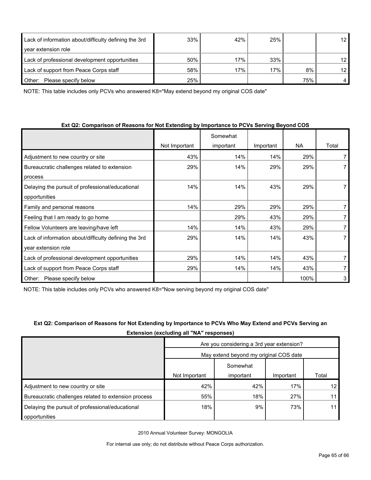| Lack of information about/difficulty defining the 3rd | 33% | 42% | 25% |     | 12 <sub>1</sub> |
|-------------------------------------------------------|-----|-----|-----|-----|-----------------|
| year extension role                                   |     |     |     |     |                 |
| Lack of professional development opportunities        | 50% | 17% | 33% |     | 12              |
| Lack of support from Peace Corps staff                | 58% | 17% | 17% | 8%  | 12 <sup>2</sup> |
| Please specify below<br>Other:                        | 25% |     |     | 75% |                 |

NOTE: This table includes only PCVs who answered K8="May extend beyond my original COS date"

| Ext Q2: Comparison of Reasons for Not Extending by Importance to PCVs Serving Beyond COS |  |  |  |  |
|------------------------------------------------------------------------------------------|--|--|--|--|
|------------------------------------------------------------------------------------------|--|--|--|--|

|                                                       |               | Somewhat  |           |           |       |
|-------------------------------------------------------|---------------|-----------|-----------|-----------|-------|
|                                                       | Not Important | important | Important | <b>NA</b> | Total |
| Adjustment to new country or site                     | 43%           | 14%       | 14%       | 29%       |       |
| Bureaucratic challenges related to extension          | 29%           | 14%       | 29%       | 29%       |       |
| process                                               |               |           |           |           |       |
| Delaying the pursuit of professional/educational      | 14%           | 14%       | 43%       | 29%       |       |
| opportunities                                         |               |           |           |           |       |
| Family and personal reasons                           | 14%           | 29%       | 29%       | 29%       | 7     |
| Feeling that I am ready to go home                    |               | 29%       | 43%       | 29%       |       |
| Fellow Volunteers are leaving/have left               | 14%           | 14%       | 43%       | 29%       |       |
| Lack of information about/difficulty defining the 3rd | 29%           | 14%       | 14%       | 43%       |       |
| year extension role                                   |               |           |           |           |       |
| Lack of professional development opportunities        | 29%           | 14%       | 14%       | 43%       |       |
| Lack of support from Peace Corps staff                | 29%           | 14%       | 14%       | 43%       |       |
| Please specify below<br>Other:                        |               |           |           | 100%      | 3     |

NOTE: This table includes only PCVs who answered K8="Now serving beyond my original COS date"

Delaying the pursuit of professional/educational

opportunities

| Extension (excluding all "NA" responses)  |           |           |                                        |  |  |  |
|-------------------------------------------|-----------|-----------|----------------------------------------|--|--|--|
| Are you considering a 3rd year extension? |           |           |                                        |  |  |  |
|                                           |           |           |                                        |  |  |  |
|                                           | Somewhat  |           |                                        |  |  |  |
| Not Important                             | important | Important | Total                                  |  |  |  |
| 42%                                       | 42%       | 17%       | 12                                     |  |  |  |
|                                           |           |           | May extend beyond my original COS date |  |  |  |

Bureaucratic challenges related to extension process and the state of the state of the state of the state of the state of the state of the state of the state of the state of the state of the state of the state of the state

# **Ext Q2: Comparison of Reasons for Not Extending by Importance to PCVs Who May Extend and PCVs Serving an**

2010 Annual Volunteer Survey: MONGOLIA

For internal use only; do not distribute without Peace Corps authorization.

18% 9% 73% 11